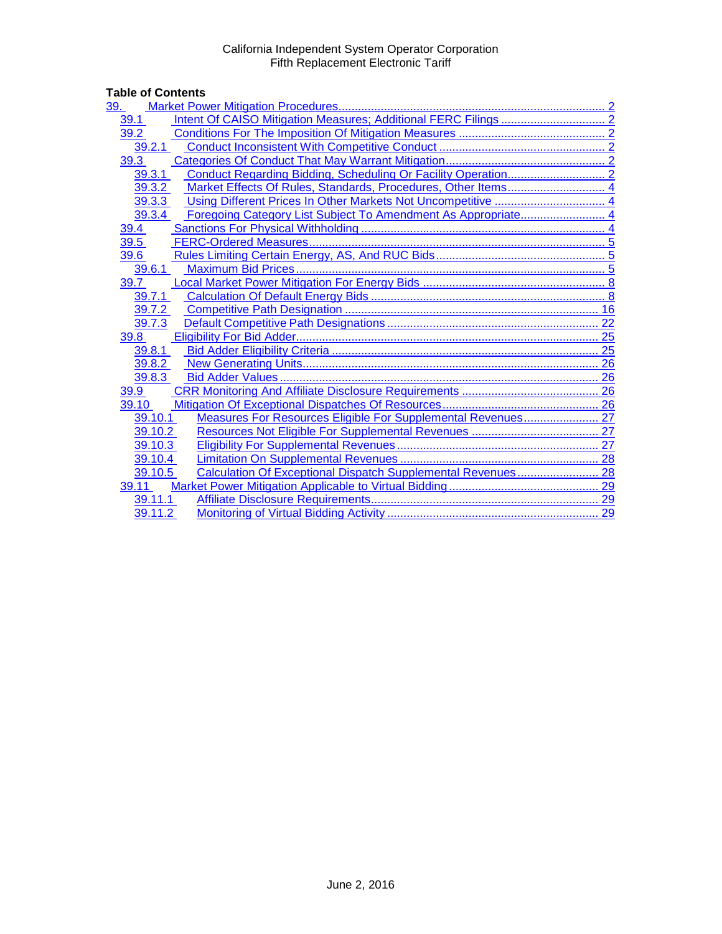# Table of Contents<br>
<u>39. Market Pow</u>

| 39.     |                                                               |  |
|---------|---------------------------------------------------------------|--|
| 39.1    |                                                               |  |
| 39.2    |                                                               |  |
| 39.2.1  |                                                               |  |
| 39.3    |                                                               |  |
| 39.3.1  |                                                               |  |
| 39.3.2  | Market Effects Of Rules, Standards, Procedures, Other Items 4 |  |
| 39.3.3  |                                                               |  |
| 39.3.4  |                                                               |  |
| 39.4    |                                                               |  |
| 39.5    |                                                               |  |
| 39.6    |                                                               |  |
| 39.6.1  |                                                               |  |
| 39.7    |                                                               |  |
| 39.7.1  |                                                               |  |
| 39.7.2  |                                                               |  |
| 39.7.3  |                                                               |  |
| 39.8    |                                                               |  |
| 39.8.1  |                                                               |  |
| 39.8.2  |                                                               |  |
| 39.8.3  |                                                               |  |
| 39.9    |                                                               |  |
| 39.10   |                                                               |  |
| 39.10.1 | Measures For Resources Eligible For Supplemental Revenues 27  |  |
| 39.10.2 |                                                               |  |
| 39.10.3 |                                                               |  |
| 39.10.4 |                                                               |  |
| 39.10.5 | Calculation Of Exceptional Dispatch Supplemental Revenues 28  |  |
| 39.11   |                                                               |  |
| 39.11.1 |                                                               |  |
| 39.11.2 |                                                               |  |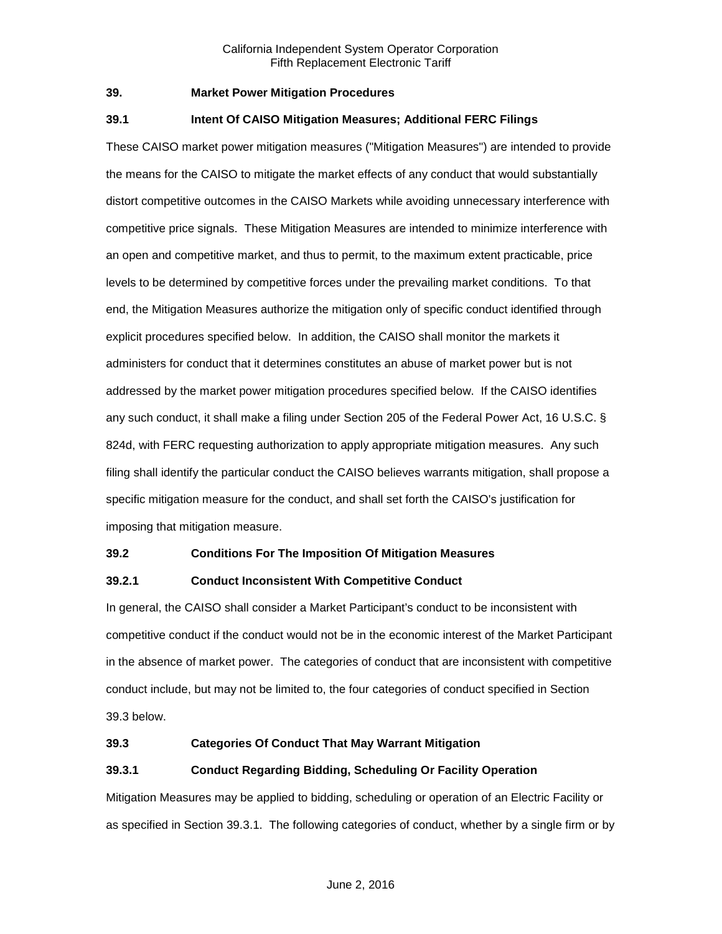#### <span id="page-1-0"></span>**39. Market Power Mitigation Procedures**

#### <span id="page-1-1"></span>**39.1 Intent Of CAISO Mitigation Measures; Additional FERC Filings**

These CAISO market power mitigation measures ("Mitigation Measures") are intended to provide the means for the CAISO to mitigate the market effects of any conduct that would substantially distort competitive outcomes in the CAISO Markets while avoiding unnecessary interference with competitive price signals. These Mitigation Measures are intended to minimize interference with an open and competitive market, and thus to permit, to the maximum extent practicable, price levels to be determined by competitive forces under the prevailing market conditions. To that end, the Mitigation Measures authorize the mitigation only of specific conduct identified through explicit procedures specified below. In addition, the CAISO shall monitor the markets it administers for conduct that it determines constitutes an abuse of market power but is not addressed by the market power mitigation procedures specified below. If the CAISO identifies any such conduct, it shall make a filing under Section 205 of the Federal Power Act, 16 U.S.C. § 824d, with FERC requesting authorization to apply appropriate mitigation measures. Any such filing shall identify the particular conduct the CAISO believes warrants mitigation, shall propose a specific mitigation measure for the conduct, and shall set forth the CAISO's justification for imposing that mitigation measure.

#### <span id="page-1-2"></span>**39.2 Conditions For The Imposition Of Mitigation Measures**

# <span id="page-1-3"></span>**39.2.1 Conduct Inconsistent With Competitive Conduct**

In general, the CAISO shall consider a Market Participant's conduct to be inconsistent with competitive conduct if the conduct would not be in the economic interest of the Market Participant in the absence of market power. The categories of conduct that are inconsistent with competitive conduct include, but may not be limited to, the four categories of conduct specified in Section 39.3 below.

#### <span id="page-1-4"></span>**39.3 Categories Of Conduct That May Warrant Mitigation**

# <span id="page-1-5"></span>**39.3.1 Conduct Regarding Bidding, Scheduling Or Facility Operation**

Mitigation Measures may be applied to bidding, scheduling or operation of an Electric Facility or as specified in Section 39.3.1. The following categories of conduct, whether by a single firm or by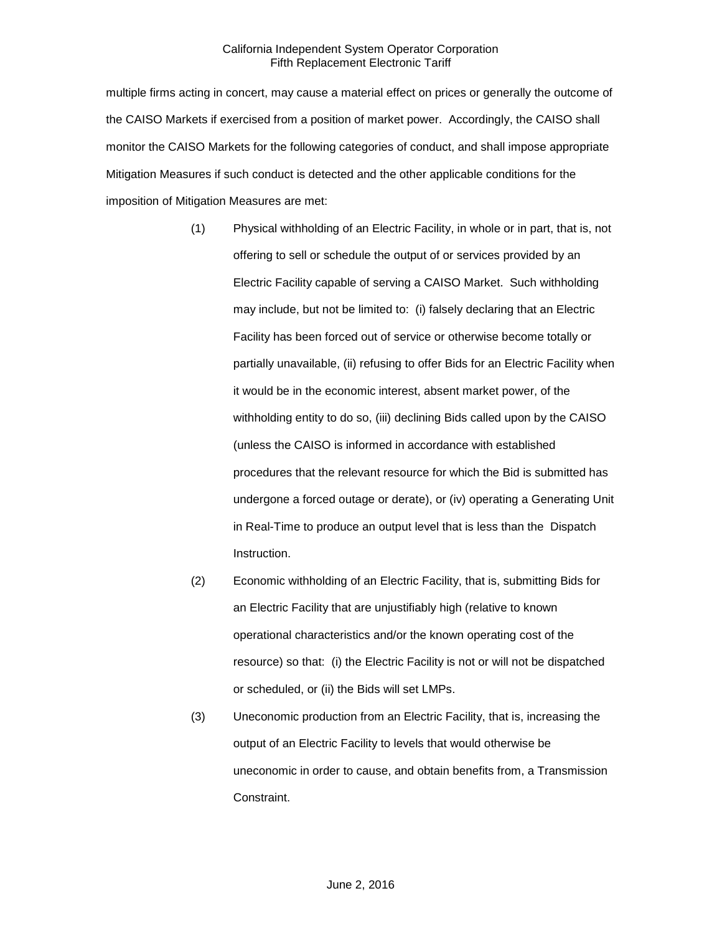multiple firms acting in concert, may cause a material effect on prices or generally the outcome of the CAISO Markets if exercised from a position of market power. Accordingly, the CAISO shall monitor the CAISO Markets for the following categories of conduct, and shall impose appropriate Mitigation Measures if such conduct is detected and the other applicable conditions for the imposition of Mitigation Measures are met:

- (1) Physical withholding of an Electric Facility, in whole or in part, that is, not offering to sell or schedule the output of or services provided by an Electric Facility capable of serving a CAISO Market. Such withholding may include, but not be limited to: (i) falsely declaring that an Electric Facility has been forced out of service or otherwise become totally or partially unavailable, (ii) refusing to offer Bids for an Electric Facility when it would be in the economic interest, absent market power, of the withholding entity to do so, (iii) declining Bids called upon by the CAISO (unless the CAISO is informed in accordance with established procedures that the relevant resource for which the Bid is submitted has undergone a forced outage or derate), or (iv) operating a Generating Unit in Real-Time to produce an output level that is less than the Dispatch Instruction.
- (2) Economic withholding of an Electric Facility, that is, submitting Bids for an Electric Facility that are unjustifiably high (relative to known operational characteristics and/or the known operating cost of the resource) so that: (i) the Electric Facility is not or will not be dispatched or scheduled, or (ii) the Bids will set LMPs.
- (3) Uneconomic production from an Electric Facility, that is, increasing the output of an Electric Facility to levels that would otherwise be uneconomic in order to cause, and obtain benefits from, a Transmission Constraint.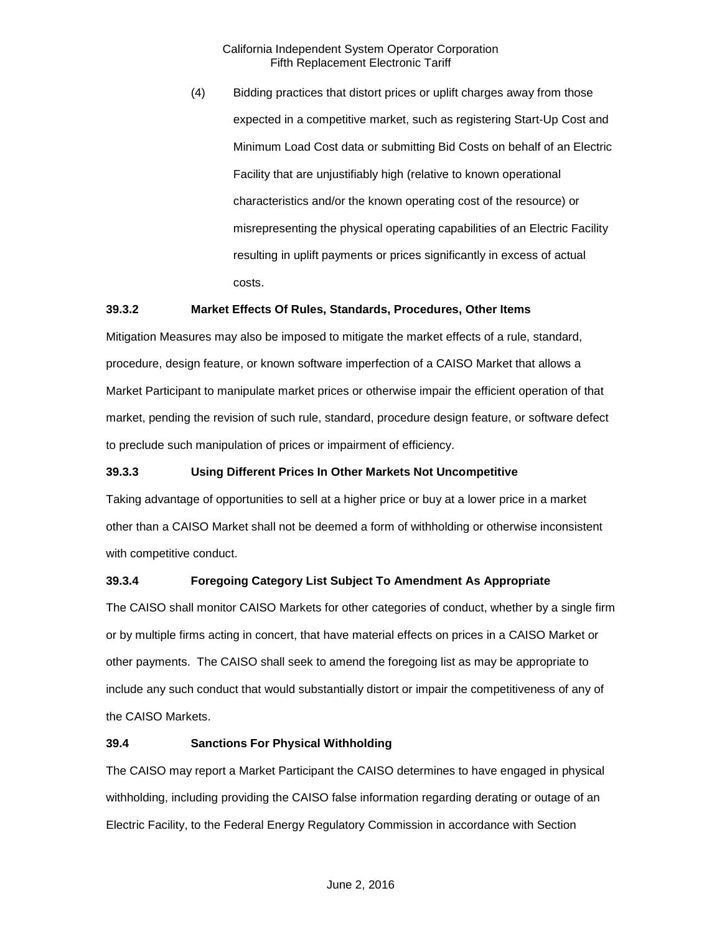(4) Bidding practices that distort prices or uplift charges away from those expected in a competitive market, such as registering Start-Up Cost and Minimum Load Cost data or submitting Bid Costs on behalf of an Electric Facility that are unjustifiably high (relative to known operational characteristics and/or the known operating cost of the resource) or misrepresenting the physical operating capabilities of an Electric Facility resulting in uplift payments or prices significantly in excess of actual costs.

#### <span id="page-3-0"></span>**39.3.2 Market Effects Of Rules, Standards, Procedures, Other Items**

Mitigation Measures may also be imposed to mitigate the market effects of a rule, standard, procedure, design feature, or known software imperfection of a CAISO Market that allows a Market Participant to manipulate market prices or otherwise impair the efficient operation of that market, pending the revision of such rule, standard, procedure design feature, or software defect to preclude such manipulation of prices or impairment of efficiency.

# <span id="page-3-1"></span>**39.3.3 Using Different Prices In Other Markets Not Uncompetitive**

Taking advantage of opportunities to sell at a higher price or buy at a lower price in a market other than a CAISO Market shall not be deemed a form of withholding or otherwise inconsistent with competitive conduct.

# <span id="page-3-2"></span>**39.3.4 Foregoing Category List Subject To Amendment As Appropriate**

The CAISO shall monitor CAISO Markets for other categories of conduct, whether by a single firm or by multiple firms acting in concert, that have material effects on prices in a CAISO Market or other payments. The CAISO shall seek to amend the foregoing list as may be appropriate to include any such conduct that would substantially distort or impair the competitiveness of any of the CAISO Markets.

#### <span id="page-3-3"></span>**39.4 Sanctions For Physical Withholding**

The CAISO may report a Market Participant the CAISO determines to have engaged in physical withholding, including providing the CAISO false information regarding derating or outage of an Electric Facility, to the Federal Energy Regulatory Commission in accordance with Section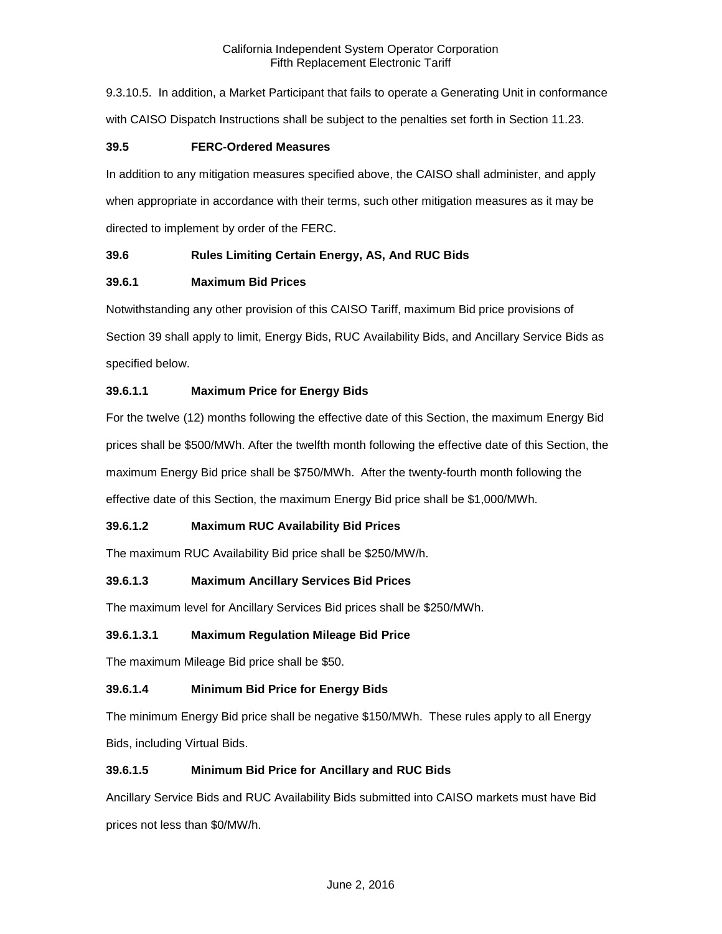9.3.10.5. In addition, a Market Participant that fails to operate a Generating Unit in conformance with CAISO Dispatch Instructions shall be subject to the penalties set forth in Section 11.23.

#### <span id="page-4-0"></span>**39.5 FERC-Ordered Measures**

In addition to any mitigation measures specified above, the CAISO shall administer, and apply when appropriate in accordance with their terms, such other mitigation measures as it may be directed to implement by order of the FERC.

# <span id="page-4-1"></span>**39.6 Rules Limiting Certain Energy, AS, And RUC Bids**

# <span id="page-4-2"></span>**39.6.1 Maximum Bid Prices**

Notwithstanding any other provision of this CAISO Tariff, maximum Bid price provisions of Section 39 shall apply to limit, Energy Bids, RUC Availability Bids, and Ancillary Service Bids as specified below.

# **39.6.1.1 Maximum Price for Energy Bids**

For the twelve (12) months following the effective date of this Section, the maximum Energy Bid prices shall be \$500/MWh. After the twelfth month following the effective date of this Section, the maximum Energy Bid price shall be \$750/MWh. After the twenty-fourth month following the effective date of this Section, the maximum Energy Bid price shall be \$1,000/MWh.

# **39.6.1.2 Maximum RUC Availability Bid Prices**

The maximum RUC Availability Bid price shall be \$250/MW/h.

# **39.6.1.3 Maximum Ancillary Services Bid Prices**

The maximum level for Ancillary Services Bid prices shall be \$250/MWh.

#### **39.6.1.3.1 Maximum Regulation Mileage Bid Price**

The maximum Mileage Bid price shall be \$50.

# **39.6.1.4 Minimum Bid Price for Energy Bids**

The minimum Energy Bid price shall be negative \$150/MWh. These rules apply to all Energy Bids, including Virtual Bids.

# **39.6.1.5 Minimum Bid Price for Ancillary and RUC Bids**

Ancillary Service Bids and RUC Availability Bids submitted into CAISO markets must have Bid prices not less than \$0/MW/h.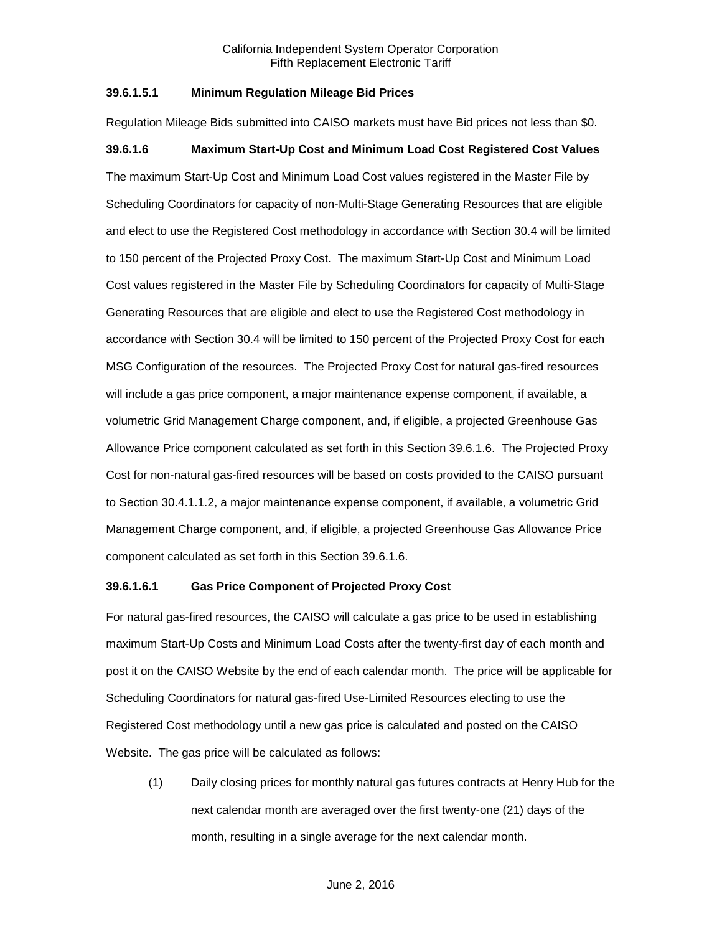#### **39.6.1.5.1 Minimum Regulation Mileage Bid Prices**

Regulation Mileage Bids submitted into CAISO markets must have Bid prices not less than \$0.

#### **39.6.1.6 Maximum Start-Up Cost and Minimum Load Cost Registered Cost Values**

The maximum Start-Up Cost and Minimum Load Cost values registered in the Master File by Scheduling Coordinators for capacity of non-Multi-Stage Generating Resources that are eligible and elect to use the Registered Cost methodology in accordance with Section 30.4 will be limited to 150 percent of the Projected Proxy Cost. The maximum Start-Up Cost and Minimum Load Cost values registered in the Master File by Scheduling Coordinators for capacity of Multi-Stage Generating Resources that are eligible and elect to use the Registered Cost methodology in accordance with Section 30.4 will be limited to 150 percent of the Projected Proxy Cost for each MSG Configuration of the resources. The Projected Proxy Cost for natural gas-fired resources will include a gas price component, a major maintenance expense component, if available, a volumetric Grid Management Charge component, and, if eligible, a projected Greenhouse Gas Allowance Price component calculated as set forth in this Section 39.6.1.6. The Projected Proxy Cost for non-natural gas-fired resources will be based on costs provided to the CAISO pursuant to Section 30.4.1.1.2, a major maintenance expense component, if available, a volumetric Grid Management Charge component, and, if eligible, a projected Greenhouse Gas Allowance Price component calculated as set forth in this Section 39.6.1.6.

#### **39.6.1.6.1 Gas Price Component of Projected Proxy Cost**

For natural gas-fired resources, the CAISO will calculate a gas price to be used in establishing maximum Start-Up Costs and Minimum Load Costs after the twenty-first day of each month and post it on the CAISO Website by the end of each calendar month. The price will be applicable for Scheduling Coordinators for natural gas-fired Use-Limited Resources electing to use the Registered Cost methodology until a new gas price is calculated and posted on the CAISO Website. The gas price will be calculated as follows:

(1) Daily closing prices for monthly natural gas futures contracts at Henry Hub for the next calendar month are averaged over the first twenty-one (21) days of the month, resulting in a single average for the next calendar month.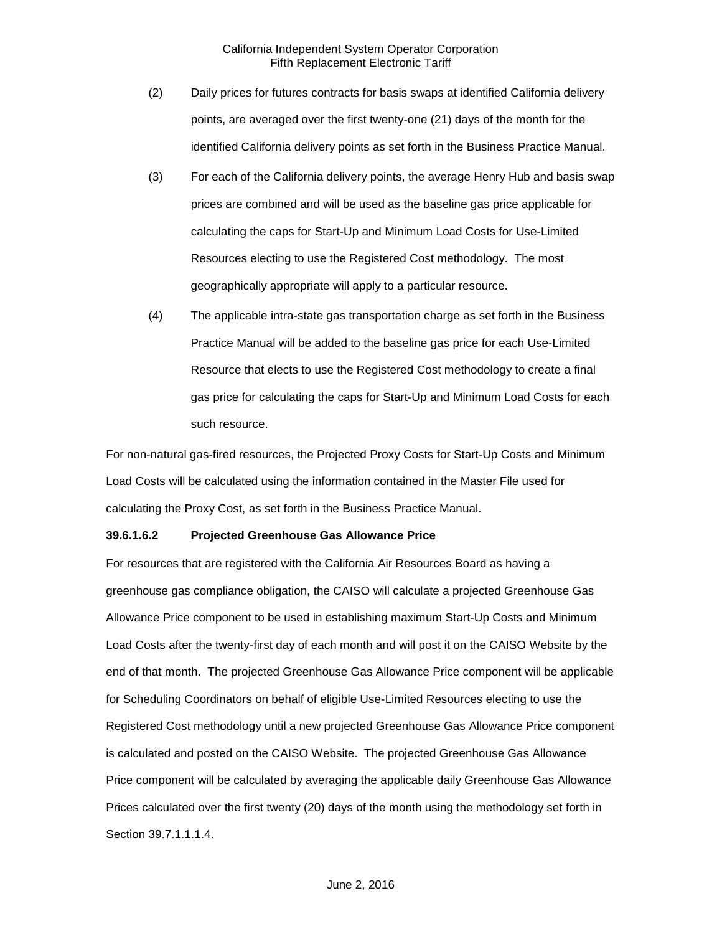- (2) Daily prices for futures contracts for basis swaps at identified California delivery points, are averaged over the first twenty-one (21) days of the month for the identified California delivery points as set forth in the Business Practice Manual.
- (3) For each of the California delivery points, the average Henry Hub and basis swap prices are combined and will be used as the baseline gas price applicable for calculating the caps for Start-Up and Minimum Load Costs for Use-Limited Resources electing to use the Registered Cost methodology. The most geographically appropriate will apply to a particular resource.
- (4) The applicable intra-state gas transportation charge as set forth in the Business Practice Manual will be added to the baseline gas price for each Use-Limited Resource that elects to use the Registered Cost methodology to create a final gas price for calculating the caps for Start-Up and Minimum Load Costs for each such resource.

For non-natural gas-fired resources, the Projected Proxy Costs for Start-Up Costs and Minimum Load Costs will be calculated using the information contained in the Master File used for calculating the Proxy Cost, as set forth in the Business Practice Manual.

#### **39.6.1.6.2 Projected Greenhouse Gas Allowance Price**

For resources that are registered with the California Air Resources Board as having a greenhouse gas compliance obligation, the CAISO will calculate a projected Greenhouse Gas Allowance Price component to be used in establishing maximum Start-Up Costs and Minimum Load Costs after the twenty-first day of each month and will post it on the CAISO Website by the end of that month. The projected Greenhouse Gas Allowance Price component will be applicable for Scheduling Coordinators on behalf of eligible Use-Limited Resources electing to use the Registered Cost methodology until a new projected Greenhouse Gas Allowance Price component is calculated and posted on the CAISO Website. The projected Greenhouse Gas Allowance Price component will be calculated by averaging the applicable daily Greenhouse Gas Allowance Prices calculated over the first twenty (20) days of the month using the methodology set forth in Section 39.7.1.1.1.4.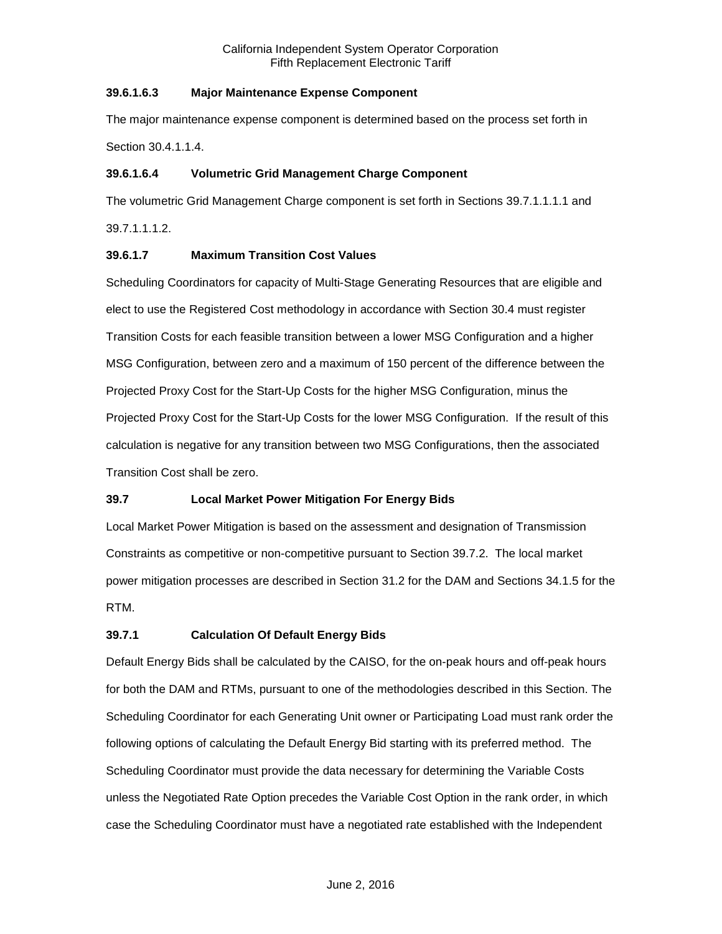# **39.6.1.6.3 Major Maintenance Expense Component**

The major maintenance expense component is determined based on the process set forth in Section 30.4.1.1.4.

#### **39.6.1.6.4 Volumetric Grid Management Charge Component**

The volumetric Grid Management Charge component is set forth in Sections 39.7.1.1.1.1 and 39.7.1.1.1.2.

#### **39.6.1.7 Maximum Transition Cost Values**

Scheduling Coordinators for capacity of Multi-Stage Generating Resources that are eligible and elect to use the Registered Cost methodology in accordance with Section 30.4 must register Transition Costs for each feasible transition between a lower MSG Configuration and a higher MSG Configuration, between zero and a maximum of 150 percent of the difference between the Projected Proxy Cost for the Start-Up Costs for the higher MSG Configuration, minus the Projected Proxy Cost for the Start-Up Costs for the lower MSG Configuration. If the result of this calculation is negative for any transition between two MSG Configurations, then the associated Transition Cost shall be zero.

# <span id="page-7-0"></span>**39.7 Local Market Power Mitigation For Energy Bids**

Local Market Power Mitigation is based on the assessment and designation of Transmission Constraints as competitive or non-competitive pursuant to Section 39.7.2. The local market power mitigation processes are described in Section 31.2 for the DAM and Sections 34.1.5 for the RTM.

# <span id="page-7-1"></span>**39.7.1 Calculation Of Default Energy Bids**

Default Energy Bids shall be calculated by the CAISO, for the on-peak hours and off-peak hours for both the DAM and RTMs, pursuant to one of the methodologies described in this Section. The Scheduling Coordinator for each Generating Unit owner or Participating Load must rank order the following options of calculating the Default Energy Bid starting with its preferred method. The Scheduling Coordinator must provide the data necessary for determining the Variable Costs unless the Negotiated Rate Option precedes the Variable Cost Option in the rank order, in which case the Scheduling Coordinator must have a negotiated rate established with the Independent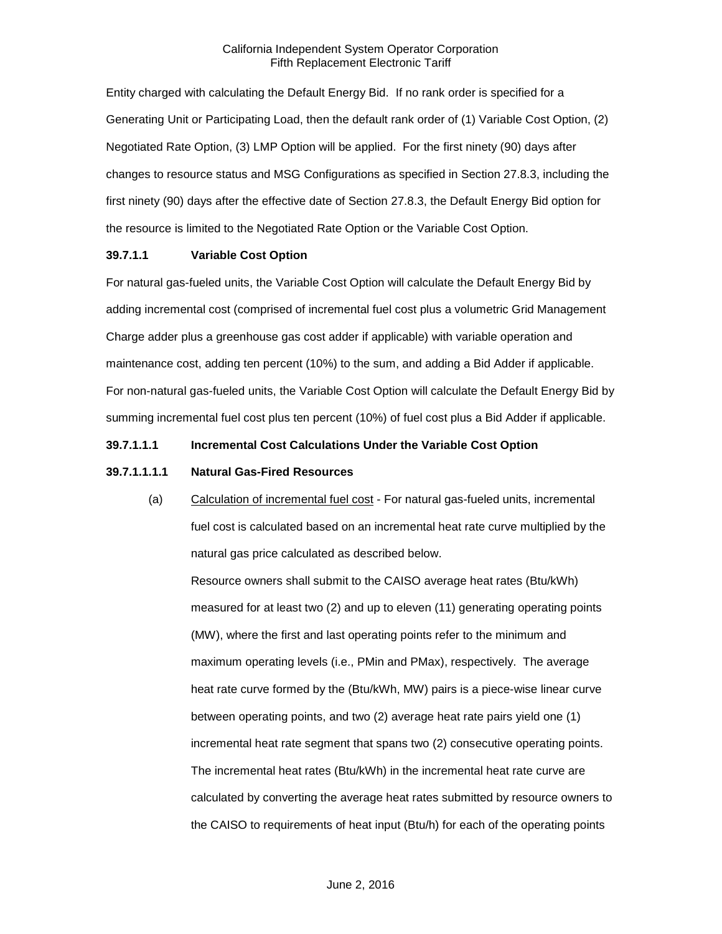Entity charged with calculating the Default Energy Bid. If no rank order is specified for a Generating Unit or Participating Load, then the default rank order of (1) Variable Cost Option, (2) Negotiated Rate Option, (3) LMP Option will be applied. For the first ninety (90) days after changes to resource status and MSG Configurations as specified in Section 27.8.3, including the first ninety (90) days after the effective date of Section 27.8.3, the Default Energy Bid option for the resource is limited to the Negotiated Rate Option or the Variable Cost Option.

#### **39.7.1.1 Variable Cost Option**

For natural gas-fueled units, the Variable Cost Option will calculate the Default Energy Bid by adding incremental cost (comprised of incremental fuel cost plus a volumetric Grid Management Charge adder plus a greenhouse gas cost adder if applicable) with variable operation and maintenance cost, adding ten percent (10%) to the sum, and adding a Bid Adder if applicable. For non-natural gas-fueled units, the Variable Cost Option will calculate the Default Energy Bid by summing incremental fuel cost plus ten percent (10%) of fuel cost plus a Bid Adder if applicable.

#### **39.7.1.1.1 Incremental Cost Calculations Under the Variable Cost Option**

#### **39.7.1.1.1.1 Natural Gas-Fired Resources**

(a) Calculation of incremental fuel cost - For natural gas-fueled units, incremental fuel cost is calculated based on an incremental heat rate curve multiplied by the natural gas price calculated as described below.

Resource owners shall submit to the CAISO average heat rates (Btu/kWh) measured for at least two (2) and up to eleven (11) generating operating points (MW), where the first and last operating points refer to the minimum and maximum operating levels (i.e., PMin and PMax), respectively. The average heat rate curve formed by the (Btu/kWh, MW) pairs is a piece-wise linear curve between operating points, and two (2) average heat rate pairs yield one (1) incremental heat rate segment that spans two (2) consecutive operating points. The incremental heat rates (Btu/kWh) in the incremental heat rate curve are calculated by converting the average heat rates submitted by resource owners to the CAISO to requirements of heat input (Btu/h) for each of the operating points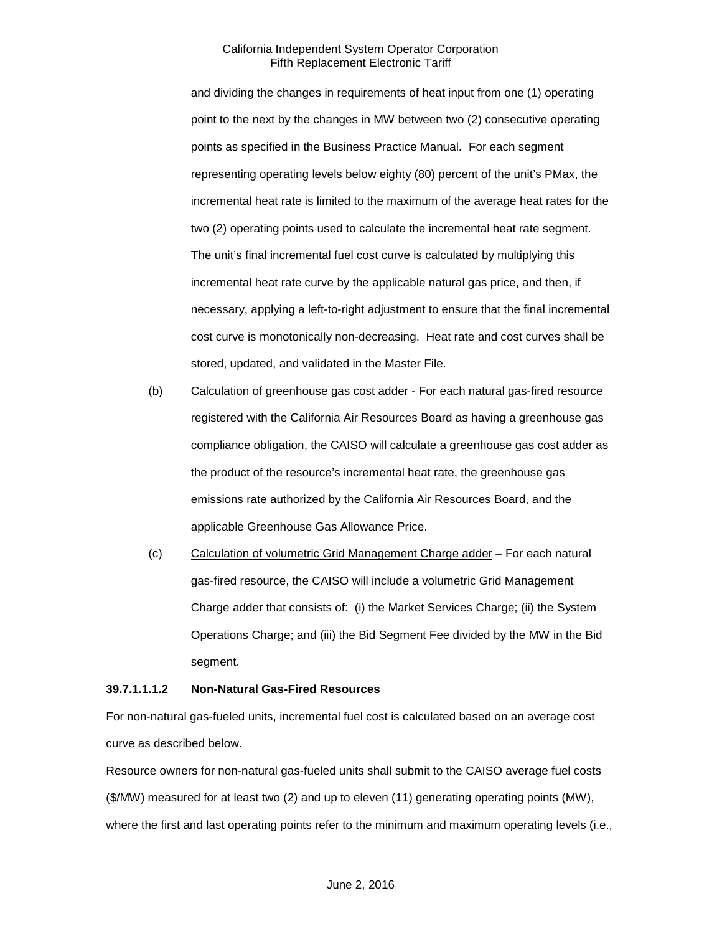and dividing the changes in requirements of heat input from one (1) operating point to the next by the changes in MW between two (2) consecutive operating points as specified in the Business Practice Manual. For each segment representing operating levels below eighty (80) percent of the unit's PMax, the incremental heat rate is limited to the maximum of the average heat rates for the two (2) operating points used to calculate the incremental heat rate segment. The unit's final incremental fuel cost curve is calculated by multiplying this incremental heat rate curve by the applicable natural gas price, and then, if necessary, applying a left-to-right adjustment to ensure that the final incremental cost curve is monotonically non-decreasing. Heat rate and cost curves shall be stored, updated, and validated in the Master File.

- (b) Calculation of greenhouse gas cost adder For each natural gas-fired resource registered with the California Air Resources Board as having a greenhouse gas compliance obligation, the CAISO will calculate a greenhouse gas cost adder as the product of the resource's incremental heat rate, the greenhouse gas emissions rate authorized by the California Air Resources Board, and the applicable Greenhouse Gas Allowance Price.
- (c) Calculation of volumetric Grid Management Charge adder For each natural gas-fired resource, the CAISO will include a volumetric Grid Management Charge adder that consists of: (i) the Market Services Charge; (ii) the System Operations Charge; and (iii) the Bid Segment Fee divided by the MW in the Bid segment.

#### **39.7.1.1.1.2 Non-Natural Gas-Fired Resources**

For non-natural gas-fueled units, incremental fuel cost is calculated based on an average cost curve as described below.

Resource owners for non-natural gas-fueled units shall submit to the CAISO average fuel costs (\$/MW) measured for at least two (2) and up to eleven (11) generating operating points (MW), where the first and last operating points refer to the minimum and maximum operating levels (i.e.,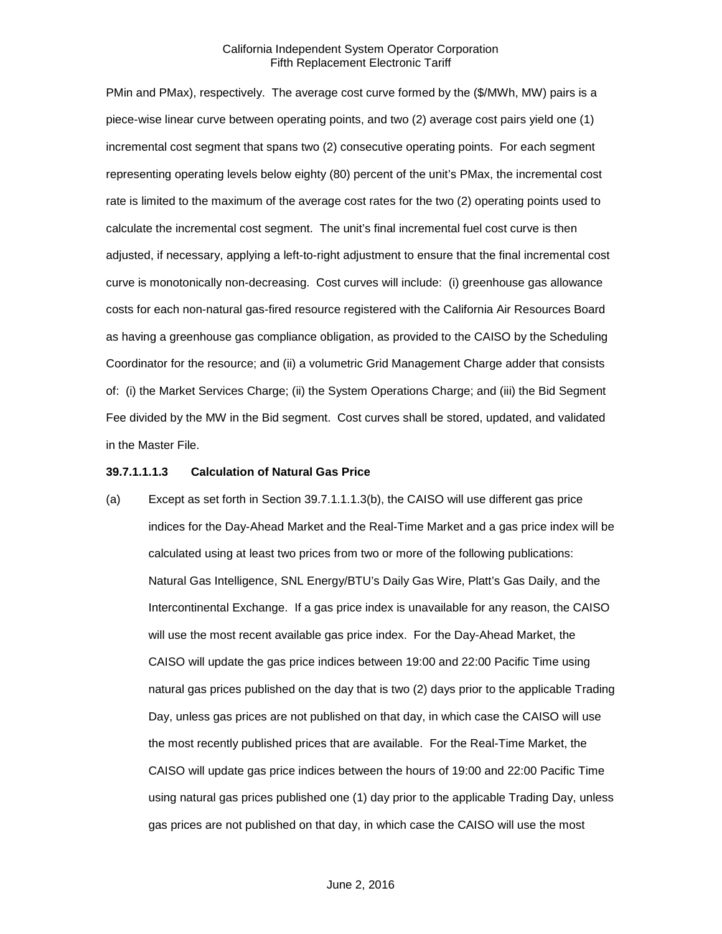PMin and PMax), respectively. The average cost curve formed by the (\$/MWh, MW) pairs is a piece-wise linear curve between operating points, and two (2) average cost pairs yield one (1) incremental cost segment that spans two (2) consecutive operating points. For each segment representing operating levels below eighty (80) percent of the unit's PMax, the incremental cost rate is limited to the maximum of the average cost rates for the two (2) operating points used to calculate the incremental cost segment. The unit's final incremental fuel cost curve is then adjusted, if necessary, applying a left-to-right adjustment to ensure that the final incremental cost curve is monotonically non-decreasing. Cost curves will include: (i) greenhouse gas allowance costs for each non-natural gas-fired resource registered with the California Air Resources Board as having a greenhouse gas compliance obligation, as provided to the CAISO by the Scheduling Coordinator for the resource; and (ii) a volumetric Grid Management Charge adder that consists of: (i) the Market Services Charge; (ii) the System Operations Charge; and (iii) the Bid Segment Fee divided by the MW in the Bid segment. Cost curves shall be stored, updated, and validated in the Master File.

#### **39.7.1.1.1.3 Calculation of Natural Gas Price**

(a) Except as set forth in Section 39.7.1.1.1.3(b), the CAISO will use different gas price indices for the Day-Ahead Market and the Real-Time Market and a gas price index will be calculated using at least two prices from two or more of the following publications: Natural Gas Intelligence, SNL Energy/BTU's Daily Gas Wire, Platt's Gas Daily, and the Intercontinental Exchange. If a gas price index is unavailable for any reason, the CAISO will use the most recent available gas price index. For the Day-Ahead Market, the CAISO will update the gas price indices between 19:00 and 22:00 Pacific Time using natural gas prices published on the day that is two (2) days prior to the applicable Trading Day, unless gas prices are not published on that day, in which case the CAISO will use the most recently published prices that are available. For the Real-Time Market, the CAISO will update gas price indices between the hours of 19:00 and 22:00 Pacific Time using natural gas prices published one (1) day prior to the applicable Trading Day, unless gas prices are not published on that day, in which case the CAISO will use the most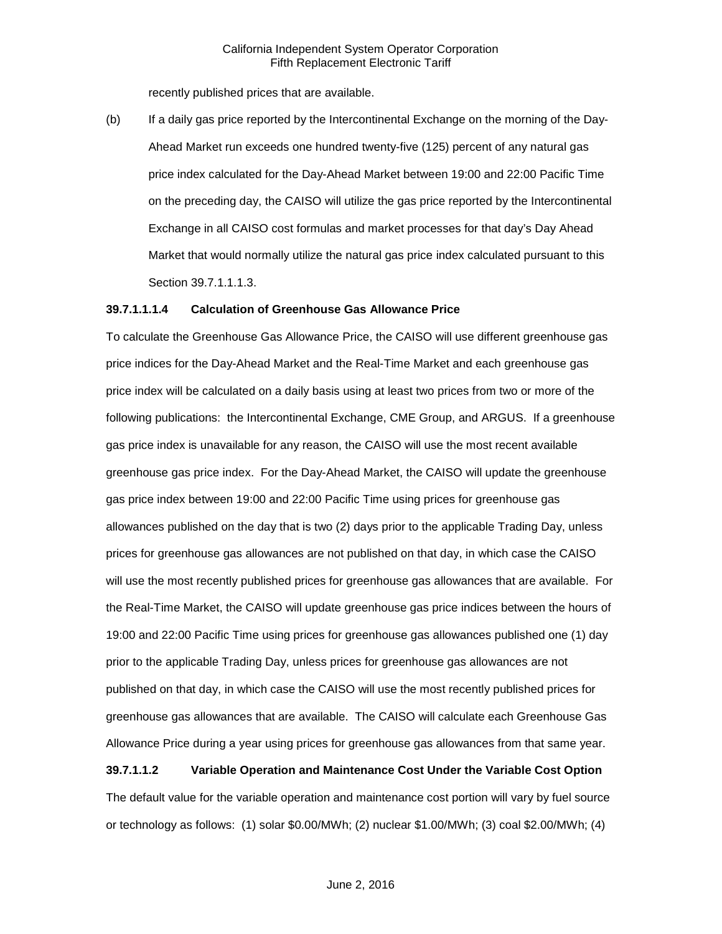recently published prices that are available.

(b) If a daily gas price reported by the Intercontinental Exchange on the morning of the Day-Ahead Market run exceeds one hundred twenty-five (125) percent of any natural gas price index calculated for the Day-Ahead Market between 19:00 and 22:00 Pacific Time on the preceding day, the CAISO will utilize the gas price reported by the Intercontinental Exchange in all CAISO cost formulas and market processes for that day's Day Ahead Market that would normally utilize the natural gas price index calculated pursuant to this Section 39.7.1.1.1.3.

#### **39.7.1.1.1.4 Calculation of Greenhouse Gas Allowance Price**

To calculate the Greenhouse Gas Allowance Price, the CAISO will use different greenhouse gas price indices for the Day-Ahead Market and the Real-Time Market and each greenhouse gas price index will be calculated on a daily basis using at least two prices from two or more of the following publications: the Intercontinental Exchange, CME Group, and ARGUS. If a greenhouse gas price index is unavailable for any reason, the CAISO will use the most recent available greenhouse gas price index. For the Day-Ahead Market, the CAISO will update the greenhouse gas price index between 19:00 and 22:00 Pacific Time using prices for greenhouse gas allowances published on the day that is two (2) days prior to the applicable Trading Day, unless prices for greenhouse gas allowances are not published on that day, in which case the CAISO will use the most recently published prices for greenhouse gas allowances that are available. For the Real-Time Market, the CAISO will update greenhouse gas price indices between the hours of 19:00 and 22:00 Pacific Time using prices for greenhouse gas allowances published one (1) day prior to the applicable Trading Day, unless prices for greenhouse gas allowances are not published on that day, in which case the CAISO will use the most recently published prices for greenhouse gas allowances that are available. The CAISO will calculate each Greenhouse Gas Allowance Price during a year using prices for greenhouse gas allowances from that same year.

#### **39.7.1.1.2 Variable Operation and Maintenance Cost Under the Variable Cost Option**

The default value for the variable operation and maintenance cost portion will vary by fuel source or technology as follows: (1) solar \$0.00/MWh; (2) nuclear \$1.00/MWh; (3) coal \$2.00/MWh; (4)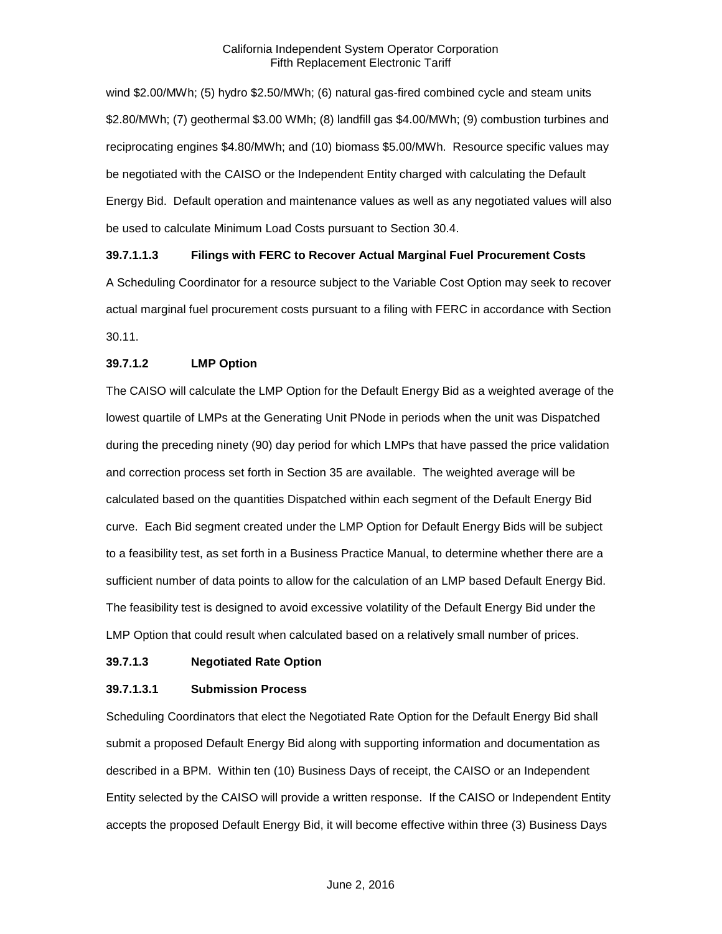wind \$2.00/MWh; (5) hydro \$2.50/MWh; (6) natural gas-fired combined cycle and steam units \$2.80/MWh; (7) geothermal \$3.00 WMh; (8) landfill gas \$4.00/MWh; (9) combustion turbines and reciprocating engines \$4.80/MWh; and (10) biomass \$5.00/MWh. Resource specific values may be negotiated with the CAISO or the Independent Entity charged with calculating the Default Energy Bid. Default operation and maintenance values as well as any negotiated values will also be used to calculate Minimum Load Costs pursuant to Section 30.4.

#### **39.7.1.1.3 Filings with FERC to Recover Actual Marginal Fuel Procurement Costs**

A Scheduling Coordinator for a resource subject to the Variable Cost Option may seek to recover actual marginal fuel procurement costs pursuant to a filing with FERC in accordance with Section 30.11.

#### **39.7.1.2 LMP Option**

The CAISO will calculate the LMP Option for the Default Energy Bid as a weighted average of the lowest quartile of LMPs at the Generating Unit PNode in periods when the unit was Dispatched during the preceding ninety (90) day period for which LMPs that have passed the price validation and correction process set forth in Section 35 are available. The weighted average will be calculated based on the quantities Dispatched within each segment of the Default Energy Bid curve. Each Bid segment created under the LMP Option for Default Energy Bids will be subject to a feasibility test, as set forth in a Business Practice Manual, to determine whether there are a sufficient number of data points to allow for the calculation of an LMP based Default Energy Bid. The feasibility test is designed to avoid excessive volatility of the Default Energy Bid under the LMP Option that could result when calculated based on a relatively small number of prices.

#### **39.7.1.3 Negotiated Rate Option**

#### **39.7.1.3.1 Submission Process**

Scheduling Coordinators that elect the Negotiated Rate Option for the Default Energy Bid shall submit a proposed Default Energy Bid along with supporting information and documentation as described in a BPM. Within ten (10) Business Days of receipt, the CAISO or an Independent Entity selected by the CAISO will provide a written response. If the CAISO or Independent Entity accepts the proposed Default Energy Bid, it will become effective within three (3) Business Days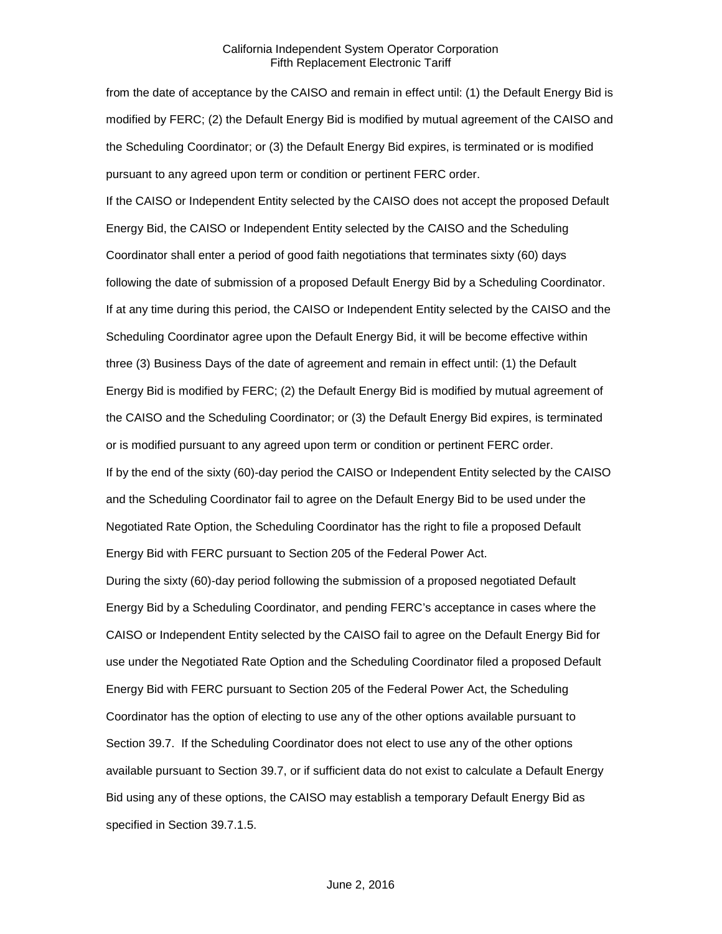from the date of acceptance by the CAISO and remain in effect until: (1) the Default Energy Bid is modified by FERC; (2) the Default Energy Bid is modified by mutual agreement of the CAISO and the Scheduling Coordinator; or (3) the Default Energy Bid expires, is terminated or is modified pursuant to any agreed upon term or condition or pertinent FERC order.

If the CAISO or Independent Entity selected by the CAISO does not accept the proposed Default Energy Bid, the CAISO or Independent Entity selected by the CAISO and the Scheduling Coordinator shall enter a period of good faith negotiations that terminates sixty (60) days following the date of submission of a proposed Default Energy Bid by a Scheduling Coordinator. If at any time during this period, the CAISO or Independent Entity selected by the CAISO and the Scheduling Coordinator agree upon the Default Energy Bid, it will be become effective within three (3) Business Days of the date of agreement and remain in effect until: (1) the Default Energy Bid is modified by FERC; (2) the Default Energy Bid is modified by mutual agreement of the CAISO and the Scheduling Coordinator; or (3) the Default Energy Bid expires, is terminated or is modified pursuant to any agreed upon term or condition or pertinent FERC order. If by the end of the sixty (60)-day period the CAISO or Independent Entity selected by the CAISO and the Scheduling Coordinator fail to agree on the Default Energy Bid to be used under the Negotiated Rate Option, the Scheduling Coordinator has the right to file a proposed Default Energy Bid with FERC pursuant to Section 205 of the Federal Power Act.

During the sixty (60)-day period following the submission of a proposed negotiated Default Energy Bid by a Scheduling Coordinator, and pending FERC's acceptance in cases where the CAISO or Independent Entity selected by the CAISO fail to agree on the Default Energy Bid for use under the Negotiated Rate Option and the Scheduling Coordinator filed a proposed Default Energy Bid with FERC pursuant to Section 205 of the Federal Power Act, the Scheduling Coordinator has the option of electing to use any of the other options available pursuant to Section 39.7. If the Scheduling Coordinator does not elect to use any of the other options available pursuant to Section 39.7, or if sufficient data do not exist to calculate a Default Energy Bid using any of these options, the CAISO may establish a temporary Default Energy Bid as specified in Section 39.7.1.5.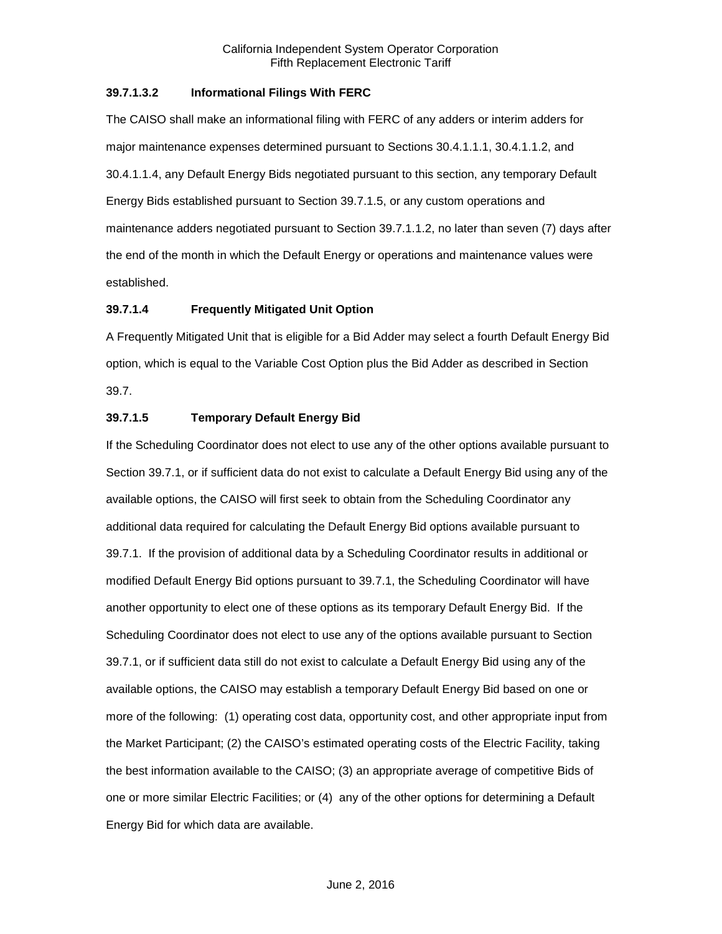#### **39.7.1.3.2 Informational Filings With FERC**

The CAISO shall make an informational filing with FERC of any adders or interim adders for major maintenance expenses determined pursuant to Sections 30.4.1.1.1, 30.4.1.1.2, and 30.4.1.1.4, any Default Energy Bids negotiated pursuant to this section, any temporary Default Energy Bids established pursuant to Section 39.7.1.5, or any custom operations and maintenance adders negotiated pursuant to Section 39.7.1.1.2, no later than seven (7) days after the end of the month in which the Default Energy or operations and maintenance values were established.

#### **39.7.1.4 Frequently Mitigated Unit Option**

A Frequently Mitigated Unit that is eligible for a Bid Adder may select a fourth Default Energy Bid option, which is equal to the Variable Cost Option plus the Bid Adder as described in Section 39.7.

#### **39.7.1.5 Temporary Default Energy Bid**

If the Scheduling Coordinator does not elect to use any of the other options available pursuant to Section 39.7.1, or if sufficient data do not exist to calculate a Default Energy Bid using any of the available options, the CAISO will first seek to obtain from the Scheduling Coordinator any additional data required for calculating the Default Energy Bid options available pursuant to 39.7.1. If the provision of additional data by a Scheduling Coordinator results in additional or modified Default Energy Bid options pursuant to 39.7.1, the Scheduling Coordinator will have another opportunity to elect one of these options as its temporary Default Energy Bid. If the Scheduling Coordinator does not elect to use any of the options available pursuant to Section 39.7.1, or if sufficient data still do not exist to calculate a Default Energy Bid using any of the available options, the CAISO may establish a temporary Default Energy Bid based on one or more of the following: (1) operating cost data, opportunity cost, and other appropriate input from the Market Participant; (2) the CAISO's estimated operating costs of the Electric Facility, taking the best information available to the CAISO; (3) an appropriate average of competitive Bids of one or more similar Electric Facilities; or (4) any of the other options for determining a Default Energy Bid for which data are available.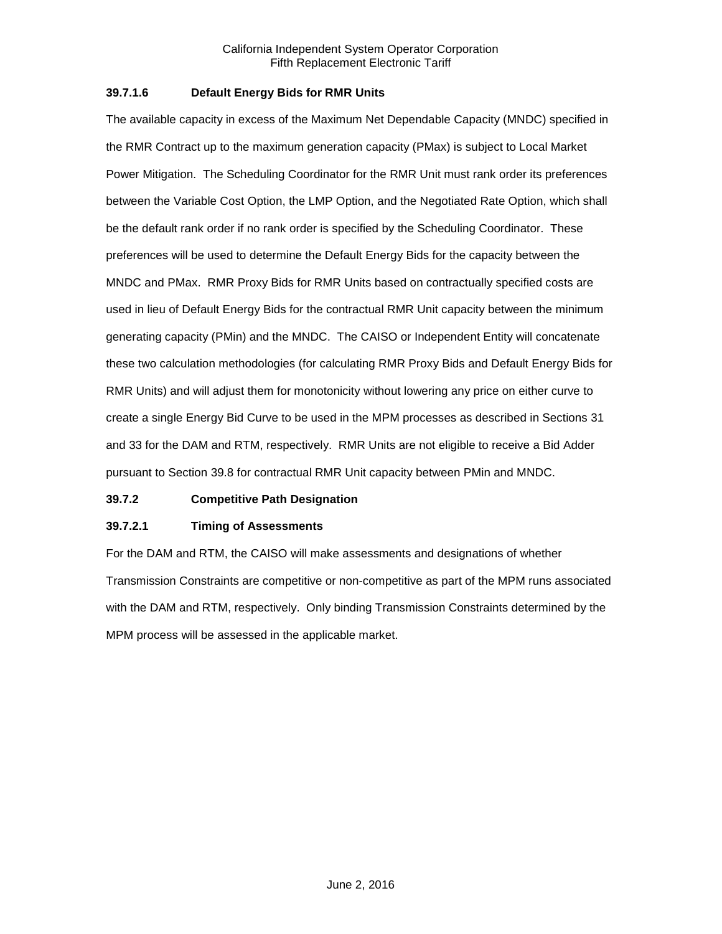#### **39.7.1.6 Default Energy Bids for RMR Units**

The available capacity in excess of the Maximum Net Dependable Capacity (MNDC) specified in the RMR Contract up to the maximum generation capacity (PMax) is subject to Local Market Power Mitigation. The Scheduling Coordinator for the RMR Unit must rank order its preferences between the Variable Cost Option, the LMP Option, and the Negotiated Rate Option, which shall be the default rank order if no rank order is specified by the Scheduling Coordinator. These preferences will be used to determine the Default Energy Bids for the capacity between the MNDC and PMax. RMR Proxy Bids for RMR Units based on contractually specified costs are used in lieu of Default Energy Bids for the contractual RMR Unit capacity between the minimum generating capacity (PMin) and the MNDC. The CAISO or Independent Entity will concatenate these two calculation methodologies (for calculating RMR Proxy Bids and Default Energy Bids for RMR Units) and will adjust them for monotonicity without lowering any price on either curve to create a single Energy Bid Curve to be used in the MPM processes as described in Sections 31 and 33 for the DAM and RTM, respectively. RMR Units are not eligible to receive a Bid Adder pursuant to Section 39.8 for contractual RMR Unit capacity between PMin and MNDC.

# <span id="page-15-0"></span>**39.7.2 Competitive Path Designation**

# **39.7.2.1 Timing of Assessments**

For the DAM and RTM, the CAISO will make assessments and designations of whether Transmission Constraints are competitive or non-competitive as part of the MPM runs associated with the DAM and RTM, respectively. Only binding Transmission Constraints determined by the MPM process will be assessed in the applicable market.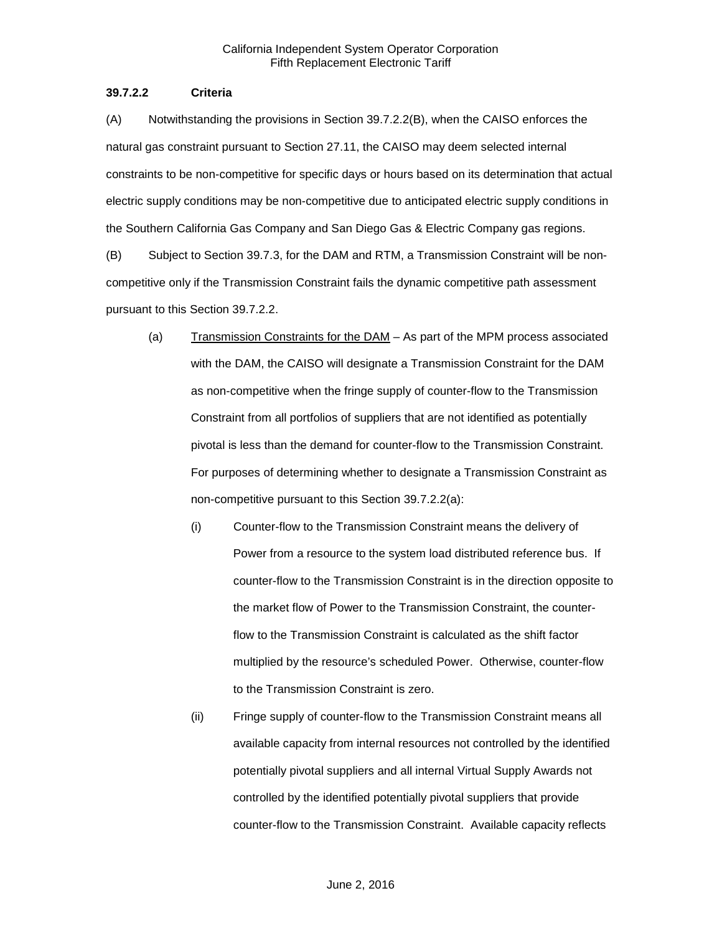#### **39.7.2.2 Criteria**

(A) Notwithstanding the provisions in Section 39.7.2.2(B), when the CAISO enforces the natural gas constraint pursuant to Section 27.11, the CAISO may deem selected internal constraints to be non-competitive for specific days or hours based on its determination that actual electric supply conditions may be non-competitive due to anticipated electric supply conditions in the Southern California Gas Company and San Diego Gas & Electric Company gas regions.

(B) Subject to Section 39.7.3, for the DAM and RTM, a Transmission Constraint will be noncompetitive only if the Transmission Constraint fails the dynamic competitive path assessment pursuant to this Section 39.7.2.2.

- (a) Transmission Constraints for the DAM As part of the MPM process associated with the DAM, the CAISO will designate a Transmission Constraint for the DAM as non-competitive when the fringe supply of counter-flow to the Transmission Constraint from all portfolios of suppliers that are not identified as potentially pivotal is less than the demand for counter-flow to the Transmission Constraint. For purposes of determining whether to designate a Transmission Constraint as non-competitive pursuant to this Section 39.7.2.2(a):
	- (i) Counter-flow to the Transmission Constraint means the delivery of Power from a resource to the system load distributed reference bus. If counter-flow to the Transmission Constraint is in the direction opposite to the market flow of Power to the Transmission Constraint, the counterflow to the Transmission Constraint is calculated as the shift factor multiplied by the resource's scheduled Power. Otherwise, counter-flow to the Transmission Constraint is zero.
	- (ii) Fringe supply of counter-flow to the Transmission Constraint means all available capacity from internal resources not controlled by the identified potentially pivotal suppliers and all internal Virtual Supply Awards not controlled by the identified potentially pivotal suppliers that provide counter-flow to the Transmission Constraint. Available capacity reflects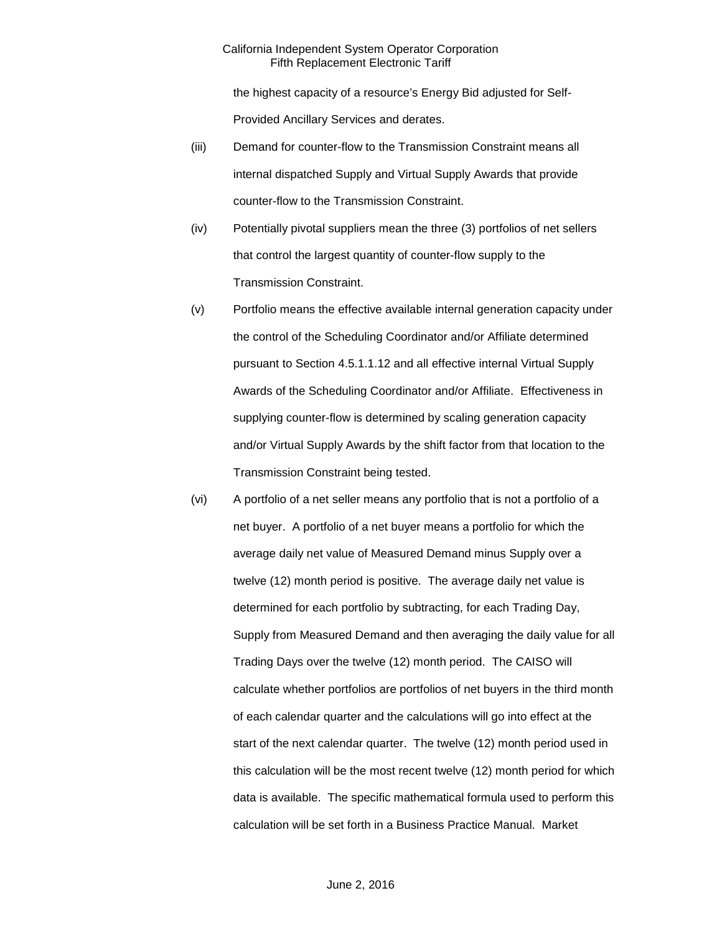the highest capacity of a resource's Energy Bid adjusted for Self-Provided Ancillary Services and derates.

- (iii) Demand for counter-flow to the Transmission Constraint means all internal dispatched Supply and Virtual Supply Awards that provide counter-flow to the Transmission Constraint.
- (iv) Potentially pivotal suppliers mean the three (3) portfolios of net sellers that control the largest quantity of counter-flow supply to the Transmission Constraint.
- (v) Portfolio means the effective available internal generation capacity under the control of the Scheduling Coordinator and/or Affiliate determined pursuant to Section 4.5.1.1.12 and all effective internal Virtual Supply Awards of the Scheduling Coordinator and/or Affiliate. Effectiveness in supplying counter-flow is determined by scaling generation capacity and/or Virtual Supply Awards by the shift factor from that location to the Transmission Constraint being tested.
- (vi) A portfolio of a net seller means any portfolio that is not a portfolio of a net buyer. A portfolio of a net buyer means a portfolio for which the average daily net value of Measured Demand minus Supply over a twelve (12) month period is positive. The average daily net value is determined for each portfolio by subtracting, for each Trading Day, Supply from Measured Demand and then averaging the daily value for all Trading Days over the twelve (12) month period. The CAISO will calculate whether portfolios are portfolios of net buyers in the third month of each calendar quarter and the calculations will go into effect at the start of the next calendar quarter. The twelve (12) month period used in this calculation will be the most recent twelve (12) month period for which data is available. The specific mathematical formula used to perform this calculation will be set forth in a Business Practice Manual. Market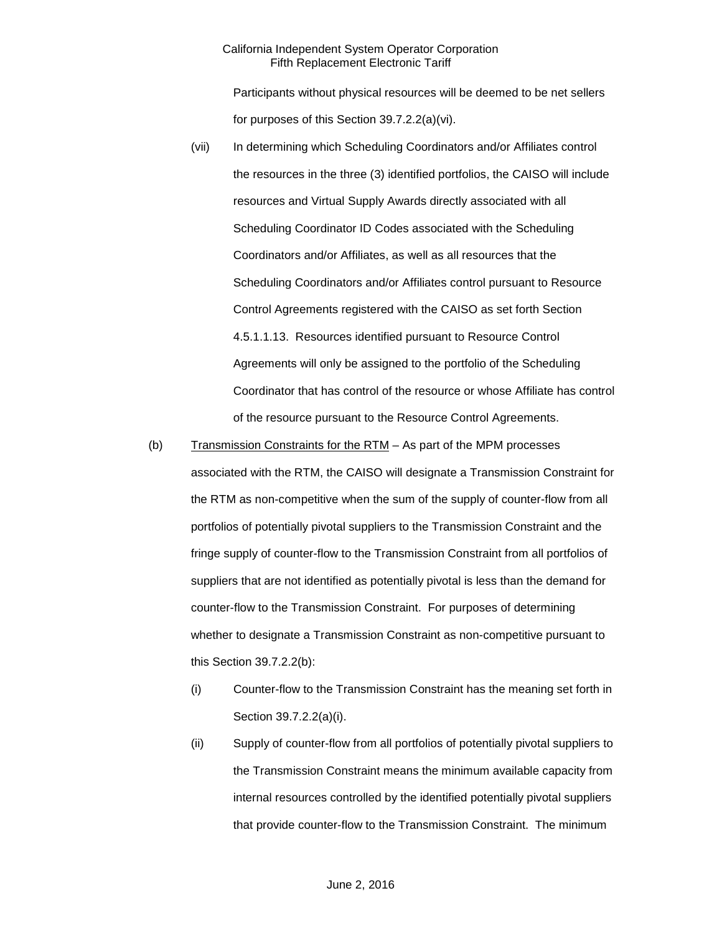Participants without physical resources will be deemed to be net sellers for purposes of this Section 39.7.2.2(a)(vi).

- (vii) In determining which Scheduling Coordinators and/or Affiliates control the resources in the three (3) identified portfolios, the CAISO will include resources and Virtual Supply Awards directly associated with all Scheduling Coordinator ID Codes associated with the Scheduling Coordinators and/or Affiliates, as well as all resources that the Scheduling Coordinators and/or Affiliates control pursuant to Resource Control Agreements registered with the CAISO as set forth Section 4.5.1.1.13. Resources identified pursuant to Resource Control Agreements will only be assigned to the portfolio of the Scheduling Coordinator that has control of the resource or whose Affiliate has control of the resource pursuant to the Resource Control Agreements.
- (b) Transmission Constraints for the RTM As part of the MPM processes associated with the RTM, the CAISO will designate a Transmission Constraint for the RTM as non-competitive when the sum of the supply of counter-flow from all portfolios of potentially pivotal suppliers to the Transmission Constraint and the fringe supply of counter-flow to the Transmission Constraint from all portfolios of suppliers that are not identified as potentially pivotal is less than the demand for counter-flow to the Transmission Constraint. For purposes of determining whether to designate a Transmission Constraint as non-competitive pursuant to this Section 39.7.2.2(b):
	- (i) Counter-flow to the Transmission Constraint has the meaning set forth in Section 39.7.2.2(a)(i).
	- (ii) Supply of counter-flow from all portfolios of potentially pivotal suppliers to the Transmission Constraint means the minimum available capacity from internal resources controlled by the identified potentially pivotal suppliers that provide counter-flow to the Transmission Constraint. The minimum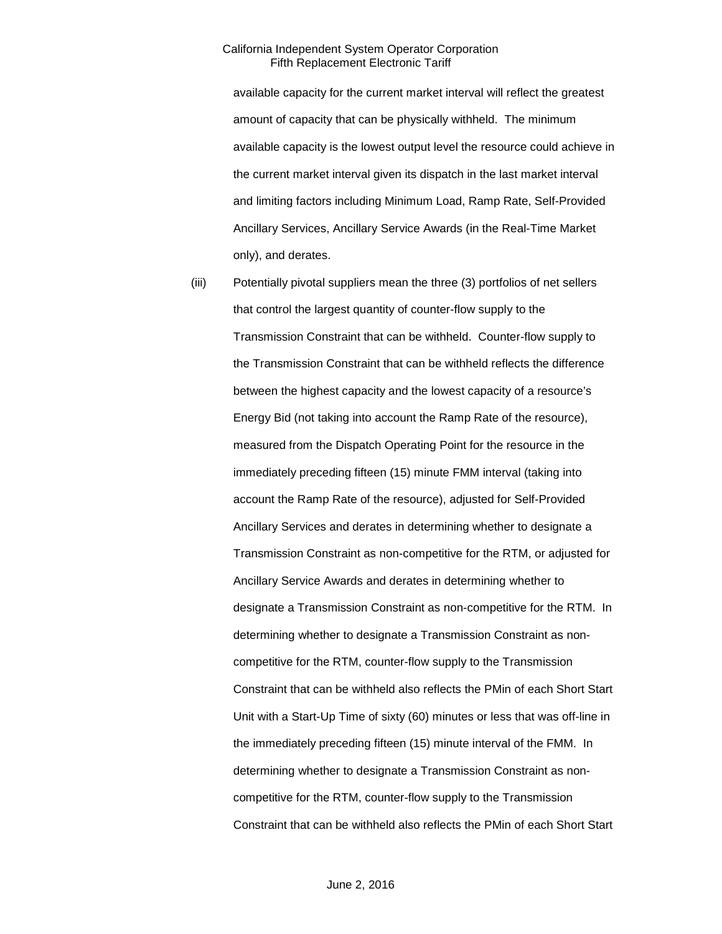available capacity for the current market interval will reflect the greatest amount of capacity that can be physically withheld. The minimum available capacity is the lowest output level the resource could achieve in the current market interval given its dispatch in the last market interval and limiting factors including Minimum Load, Ramp Rate, Self-Provided Ancillary Services, Ancillary Service Awards (in the Real-Time Market only), and derates.

(iii) Potentially pivotal suppliers mean the three (3) portfolios of net sellers that control the largest quantity of counter-flow supply to the Transmission Constraint that can be withheld. Counter-flow supply to the Transmission Constraint that can be withheld reflects the difference between the highest capacity and the lowest capacity of a resource's Energy Bid (not taking into account the Ramp Rate of the resource), measured from the Dispatch Operating Point for the resource in the immediately preceding fifteen (15) minute FMM interval (taking into account the Ramp Rate of the resource), adjusted for Self-Provided Ancillary Services and derates in determining whether to designate a Transmission Constraint as non-competitive for the RTM, or adjusted for Ancillary Service Awards and derates in determining whether to designate a Transmission Constraint as non-competitive for the RTM. In determining whether to designate a Transmission Constraint as noncompetitive for the RTM, counter-flow supply to the Transmission Constraint that can be withheld also reflects the PMin of each Short Start Unit with a Start-Up Time of sixty (60) minutes or less that was off-line in the immediately preceding fifteen (15) minute interval of the FMM. In determining whether to designate a Transmission Constraint as noncompetitive for the RTM, counter-flow supply to the Transmission Constraint that can be withheld also reflects the PMin of each Short Start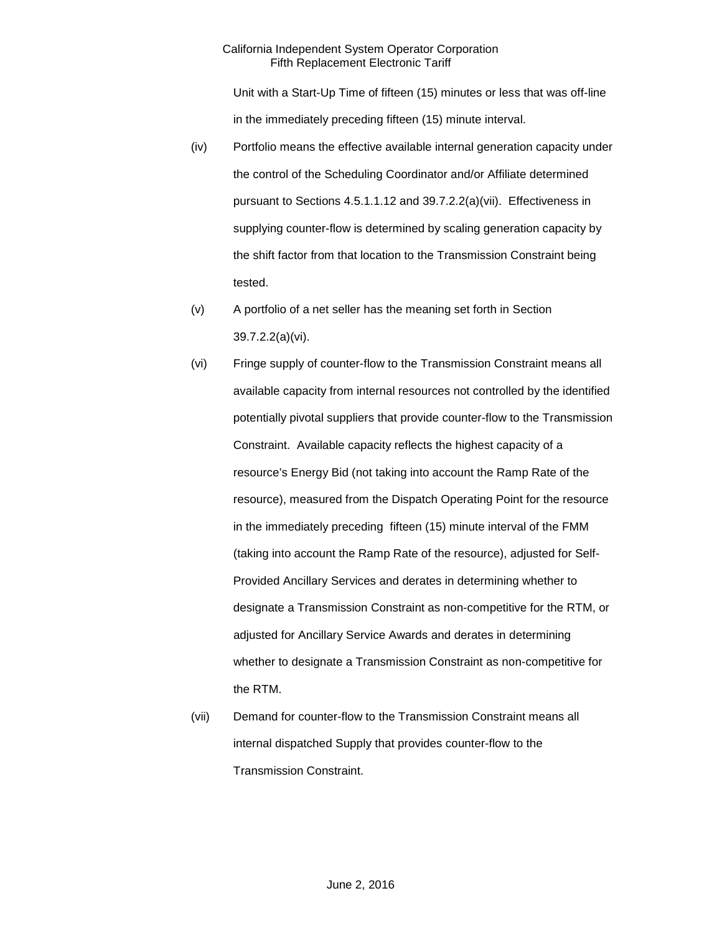Unit with a Start-Up Time of fifteen (15) minutes or less that was off-line in the immediately preceding fifteen (15) minute interval.

- (iv) Portfolio means the effective available internal generation capacity under the control of the Scheduling Coordinator and/or Affiliate determined pursuant to Sections 4.5.1.1.12 and 39.7.2.2(a)(vii). Effectiveness in supplying counter-flow is determined by scaling generation capacity by the shift factor from that location to the Transmission Constraint being tested.
- (v) A portfolio of a net seller has the meaning set forth in Section 39.7.2.2(a)(vi).
- (vi) Fringe supply of counter-flow to the Transmission Constraint means all available capacity from internal resources not controlled by the identified potentially pivotal suppliers that provide counter-flow to the Transmission Constraint. Available capacity reflects the highest capacity of a resource's Energy Bid (not taking into account the Ramp Rate of the resource), measured from the Dispatch Operating Point for the resource in the immediately preceding fifteen (15) minute interval of the FMM (taking into account the Ramp Rate of the resource), adjusted for Self-Provided Ancillary Services and derates in determining whether to designate a Transmission Constraint as non-competitive for the RTM, or adjusted for Ancillary Service Awards and derates in determining whether to designate a Transmission Constraint as non-competitive for the RTM.
- (vii) Demand for counter-flow to the Transmission Constraint means all internal dispatched Supply that provides counter-flow to the Transmission Constraint.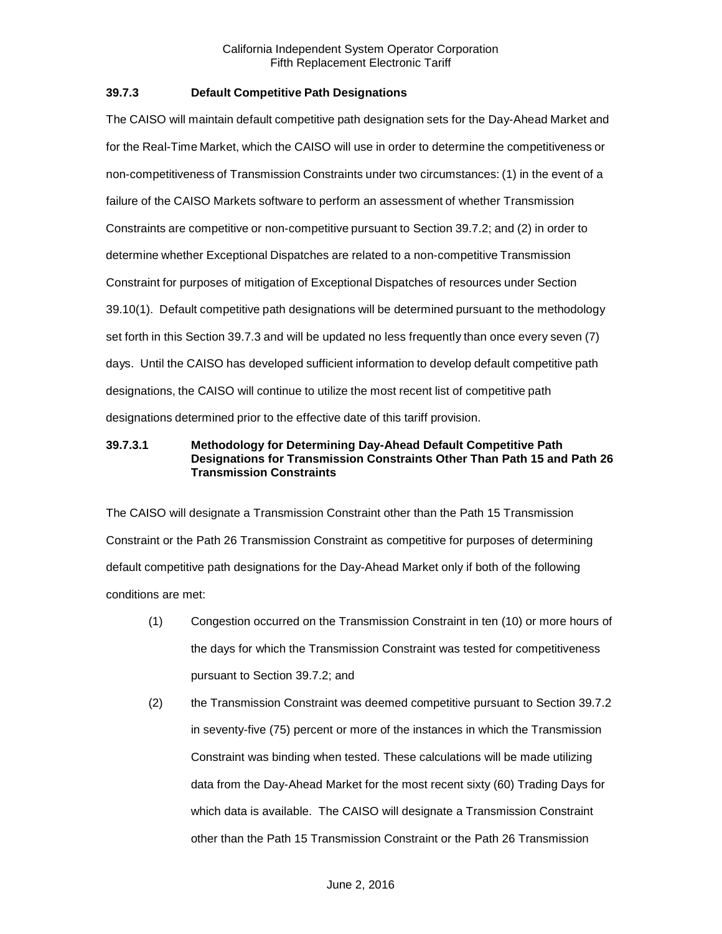#### <span id="page-21-0"></span>**39.7.3 Default Competitive Path Designations**

The CAISO will maintain default competitive path designation sets for the Day-Ahead Market and for the Real-Time Market, which the CAISO will use in order to determine the competitiveness or non-competitiveness of Transmission Constraints under two circumstances: (1) in the event of a failure of the CAISO Markets software to perform an assessment of whether Transmission Constraints are competitive or non-competitive pursuant to Section 39.7.2; and (2) in order to determine whether Exceptional Dispatches are related to a non-competitive Transmission Constraint for purposes of mitigation of Exceptional Dispatches of resources under Section 39.10(1). Default competitive path designations will be determined pursuant to the methodology set forth in this Section 39.7.3 and will be updated no less frequently than once every seven (7) days. Until the CAISO has developed sufficient information to develop default competitive path designations, the CAISO will continue to utilize the most recent list of competitive path designations determined prior to the effective date of this tariff provision.

#### **39.7.3.1 Methodology for Determining Day-Ahead Default Competitive Path Designations for Transmission Constraints Other Than Path 15 and Path 26 Transmission Constraints**

The CAISO will designate a Transmission Constraint other than the Path 15 Transmission Constraint or the Path 26 Transmission Constraint as competitive for purposes of determining default competitive path designations for the Day-Ahead Market only if both of the following conditions are met:

- (1) Congestion occurred on the Transmission Constraint in ten (10) or more hours of the days for which the Transmission Constraint was tested for competitiveness pursuant to Section 39.7.2; and
- (2) the Transmission Constraint was deemed competitive pursuant to Section 39.7.2 in seventy-five (75) percent or more of the instances in which the Transmission Constraint was binding when tested. These calculations will be made utilizing data from the Day-Ahead Market for the most recent sixty (60) Trading Days for which data is available. The CAISO will designate a Transmission Constraint other than the Path 15 Transmission Constraint or the Path 26 Transmission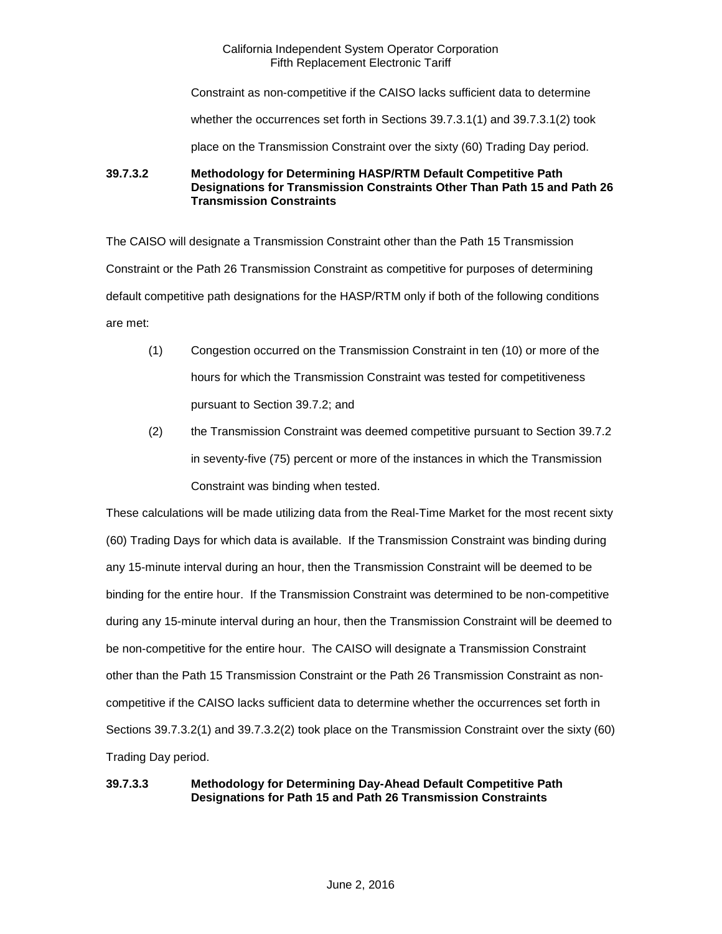Constraint as non-competitive if the CAISO lacks sufficient data to determine

whether the occurrences set forth in Sections 39.7.3.1(1) and 39.7.3.1(2) took

place on the Transmission Constraint over the sixty (60) Trading Day period.

**39.7.3.2 Methodology for Determining HASP/RTM Default Competitive Path Designations for Transmission Constraints Other Than Path 15 and Path 26 Transmission Constraints**

The CAISO will designate a Transmission Constraint other than the Path 15 Transmission Constraint or the Path 26 Transmission Constraint as competitive for purposes of determining default competitive path designations for the HASP/RTM only if both of the following conditions are met:

- (1) Congestion occurred on the Transmission Constraint in ten (10) or more of the hours for which the Transmission Constraint was tested for competitiveness pursuant to Section 39.7.2; and
- (2) the Transmission Constraint was deemed competitive pursuant to Section 39.7.2 in seventy-five (75) percent or more of the instances in which the Transmission Constraint was binding when tested.

These calculations will be made utilizing data from the Real-Time Market for the most recent sixty (60) Trading Days for which data is available. If the Transmission Constraint was binding during any 15-minute interval during an hour, then the Transmission Constraint will be deemed to be binding for the entire hour. If the Transmission Constraint was determined to be non-competitive during any 15-minute interval during an hour, then the Transmission Constraint will be deemed to be non-competitive for the entire hour. The CAISO will designate a Transmission Constraint other than the Path 15 Transmission Constraint or the Path 26 Transmission Constraint as noncompetitive if the CAISO lacks sufficient data to determine whether the occurrences set forth in Sections 39.7.3.2(1) and 39.7.3.2(2) took place on the Transmission Constraint over the sixty (60) Trading Day period.

# **39.7.3.3 Methodology for Determining Day-Ahead Default Competitive Path Designations for Path 15 and Path 26 Transmission Constraints**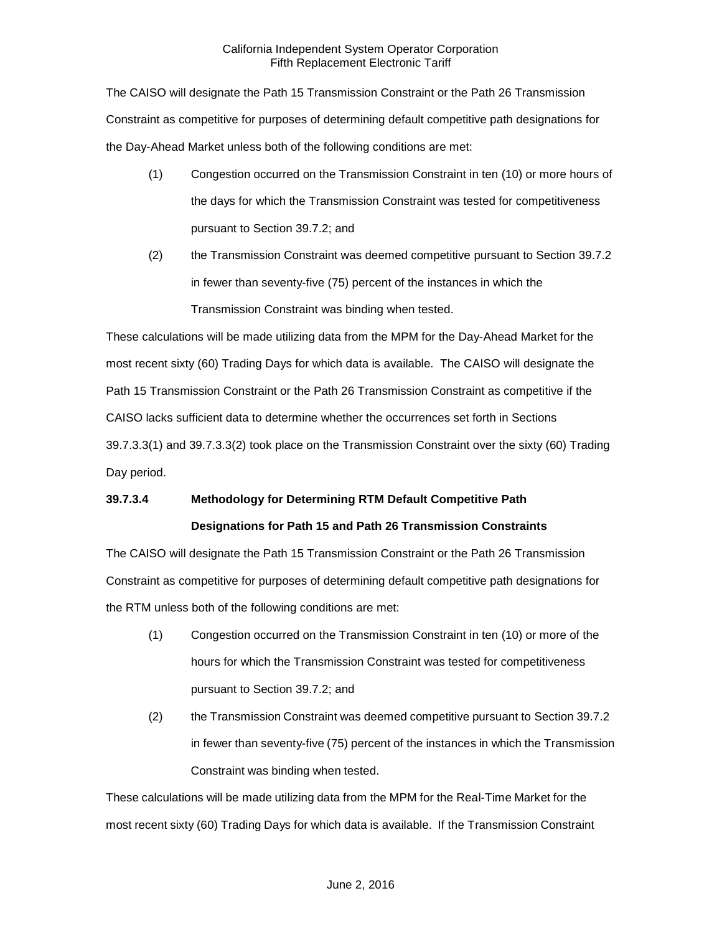The CAISO will designate the Path 15 Transmission Constraint or the Path 26 Transmission Constraint as competitive for purposes of determining default competitive path designations for the Day-Ahead Market unless both of the following conditions are met:

- (1) Congestion occurred on the Transmission Constraint in ten (10) or more hours of the days for which the Transmission Constraint was tested for competitiveness pursuant to Section 39.7.2; and
- (2) the Transmission Constraint was deemed competitive pursuant to Section 39.7.2 in fewer than seventy-five (75) percent of the instances in which the Transmission Constraint was binding when tested.

These calculations will be made utilizing data from the MPM for the Day-Ahead Market for the most recent sixty (60) Trading Days for which data is available. The CAISO will designate the Path 15 Transmission Constraint or the Path 26 Transmission Constraint as competitive if the CAISO lacks sufficient data to determine whether the occurrences set forth in Sections 39.7.3.3(1) and 39.7.3.3(2) took place on the Transmission Constraint over the sixty (60) Trading Day period.

# **39.7.3.4 Methodology for Determining RTM Default Competitive Path Designations for Path 15 and Path 26 Transmission Constraints**

The CAISO will designate the Path 15 Transmission Constraint or the Path 26 Transmission Constraint as competitive for purposes of determining default competitive path designations for the RTM unless both of the following conditions are met:

- (1) Congestion occurred on the Transmission Constraint in ten (10) or more of the hours for which the Transmission Constraint was tested for competitiveness pursuant to Section 39.7.2; and
- (2) the Transmission Constraint was deemed competitive pursuant to Section 39.7.2 in fewer than seventy-five (75) percent of the instances in which the Transmission Constraint was binding when tested.

These calculations will be made utilizing data from the MPM for the Real-Time Market for the most recent sixty (60) Trading Days for which data is available. If the Transmission Constraint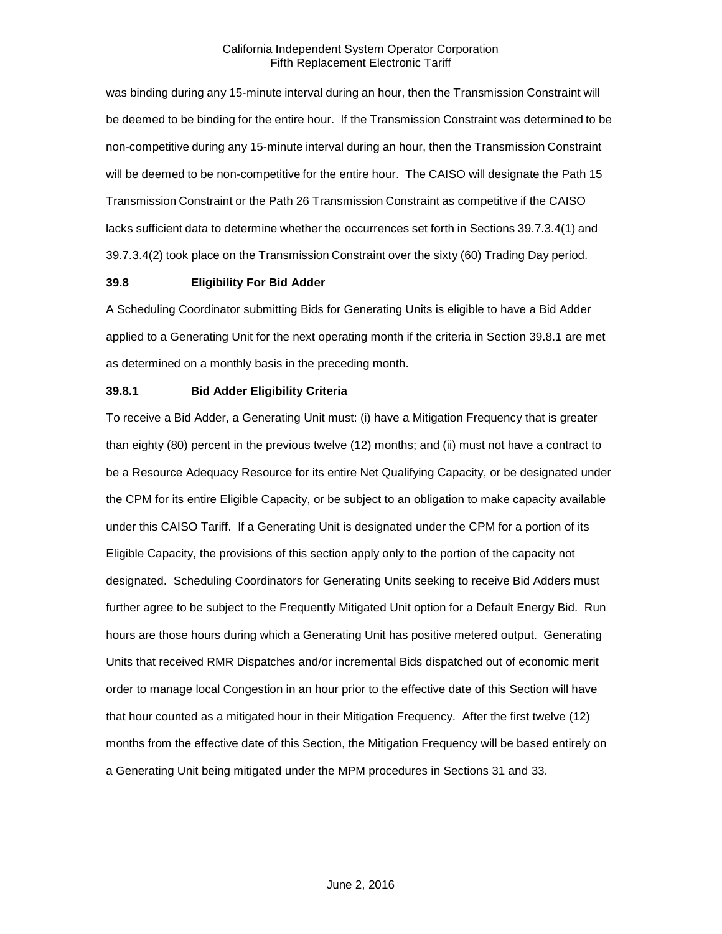was binding during any 15-minute interval during an hour, then the Transmission Constraint will be deemed to be binding for the entire hour. If the Transmission Constraint was determined to be non-competitive during any 15-minute interval during an hour, then the Transmission Constraint will be deemed to be non-competitive for the entire hour. The CAISO will designate the Path 15 Transmission Constraint or the Path 26 Transmission Constraint as competitive if the CAISO lacks sufficient data to determine whether the occurrences set forth in Sections 39.7.3.4(1) and 39.7.3.4(2) took place on the Transmission Constraint over the sixty (60) Trading Day period.

#### <span id="page-24-0"></span>**39.8 Eligibility For Bid Adder**

A Scheduling Coordinator submitting Bids for Generating Units is eligible to have a Bid Adder applied to a Generating Unit for the next operating month if the criteria in Section 39.8.1 are met as determined on a monthly basis in the preceding month.

#### <span id="page-24-1"></span>**39.8.1 Bid Adder Eligibility Criteria**

To receive a Bid Adder, a Generating Unit must: (i) have a Mitigation Frequency that is greater than eighty (80) percent in the previous twelve (12) months; and (ii) must not have a contract to be a Resource Adequacy Resource for its entire Net Qualifying Capacity, or be designated under the CPM for its entire Eligible Capacity, or be subject to an obligation to make capacity available under this CAISO Tariff. If a Generating Unit is designated under the CPM for a portion of its Eligible Capacity, the provisions of this section apply only to the portion of the capacity not designated. Scheduling Coordinators for Generating Units seeking to receive Bid Adders must further agree to be subject to the Frequently Mitigated Unit option for a Default Energy Bid. Run hours are those hours during which a Generating Unit has positive metered output. Generating Units that received RMR Dispatches and/or incremental Bids dispatched out of economic merit order to manage local Congestion in an hour prior to the effective date of this Section will have that hour counted as a mitigated hour in their Mitigation Frequency. After the first twelve (12) months from the effective date of this Section, the Mitigation Frequency will be based entirely on a Generating Unit being mitigated under the MPM procedures in Sections 31 and 33.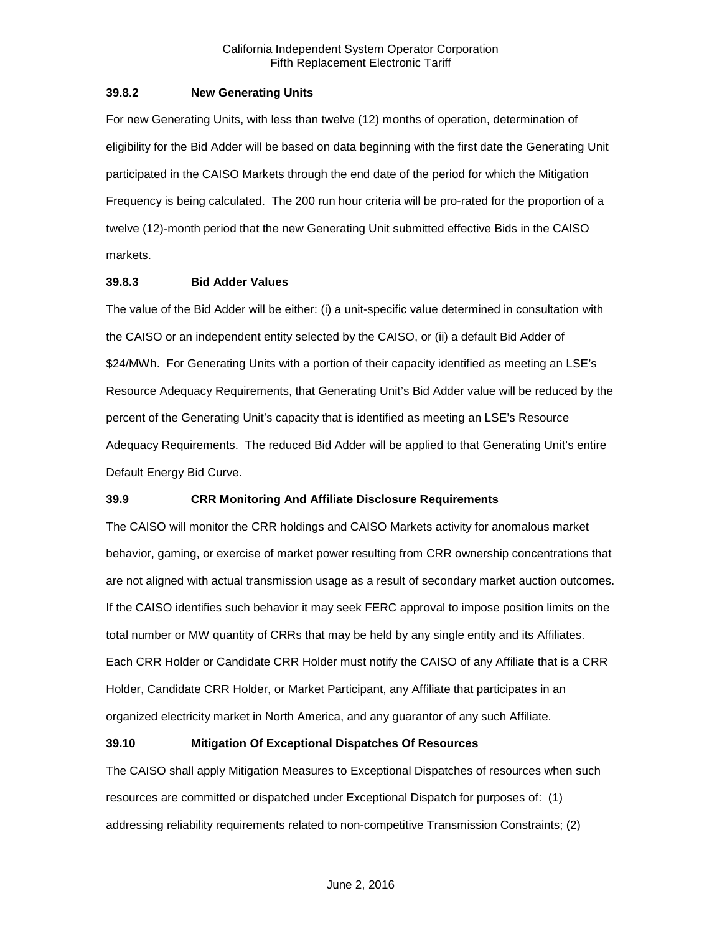#### <span id="page-25-0"></span>**39.8.2 New Generating Units**

For new Generating Units, with less than twelve (12) months of operation, determination of eligibility for the Bid Adder will be based on data beginning with the first date the Generating Unit participated in the CAISO Markets through the end date of the period for which the Mitigation Frequency is being calculated. The 200 run hour criteria will be pro-rated for the proportion of a twelve (12)-month period that the new Generating Unit submitted effective Bids in the CAISO markets.

#### <span id="page-25-1"></span>**39.8.3 Bid Adder Values**

The value of the Bid Adder will be either: (i) a unit-specific value determined in consultation with the CAISO or an independent entity selected by the CAISO, or (ii) a default Bid Adder of \$24/MWh. For Generating Units with a portion of their capacity identified as meeting an LSE's Resource Adequacy Requirements, that Generating Unit's Bid Adder value will be reduced by the percent of the Generating Unit's capacity that is identified as meeting an LSE's Resource Adequacy Requirements. The reduced Bid Adder will be applied to that Generating Unit's entire Default Energy Bid Curve.

#### <span id="page-25-2"></span>**39.9 CRR Monitoring And Affiliate Disclosure Requirements**

The CAISO will monitor the CRR holdings and CAISO Markets activity for anomalous market behavior, gaming, or exercise of market power resulting from CRR ownership concentrations that are not aligned with actual transmission usage as a result of secondary market auction outcomes. If the CAISO identifies such behavior it may seek FERC approval to impose position limits on the total number or MW quantity of CRRs that may be held by any single entity and its Affiliates. Each CRR Holder or Candidate CRR Holder must notify the CAISO of any Affiliate that is a CRR Holder, Candidate CRR Holder, or Market Participant, any Affiliate that participates in an organized electricity market in North America, and any guarantor of any such Affiliate.

#### <span id="page-25-3"></span>**39.10 Mitigation Of Exceptional Dispatches Of Resources**

The CAISO shall apply Mitigation Measures to Exceptional Dispatches of resources when such resources are committed or dispatched under Exceptional Dispatch for purposes of: (1) addressing reliability requirements related to non-competitive Transmission Constraints; (2)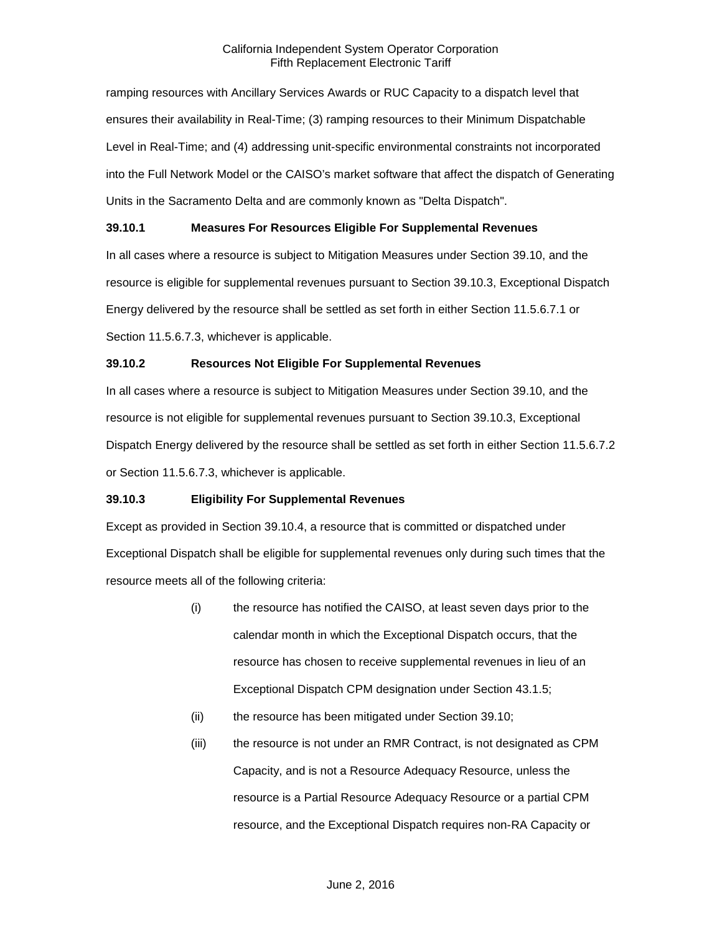ramping resources with Ancillary Services Awards or RUC Capacity to a dispatch level that ensures their availability in Real-Time; (3) ramping resources to their Minimum Dispatchable Level in Real-Time; and (4) addressing unit-specific environmental constraints not incorporated into the Full Network Model or the CAISO's market software that affect the dispatch of Generating Units in the Sacramento Delta and are commonly known as "Delta Dispatch".

# <span id="page-26-0"></span>**39.10.1 Measures For Resources Eligible For Supplemental Revenues**

In all cases where a resource is subject to Mitigation Measures under Section 39.10, and the resource is eligible for supplemental revenues pursuant to Section 39.10.3, Exceptional Dispatch Energy delivered by the resource shall be settled as set forth in either Section 11.5.6.7.1 or Section 11.5.6.7.3, whichever is applicable.

# <span id="page-26-1"></span>**39.10.2 Resources Not Eligible For Supplemental Revenues**

In all cases where a resource is subject to Mitigation Measures under Section 39.10, and the resource is not eligible for supplemental revenues pursuant to Section 39.10.3, Exceptional Dispatch Energy delivered by the resource shall be settled as set forth in either Section 11.5.6.7.2 or Section 11.5.6.7.3, whichever is applicable.

#### <span id="page-26-2"></span>**39.10.3 Eligibility For Supplemental Revenues**

Except as provided in Section 39.10.4, a resource that is committed or dispatched under Exceptional Dispatch shall be eligible for supplemental revenues only during such times that the resource meets all of the following criteria:

- (i) the resource has notified the CAISO, at least seven days prior to the calendar month in which the Exceptional Dispatch occurs, that the resource has chosen to receive supplemental revenues in lieu of an Exceptional Dispatch CPM designation under Section 43.1.5;
- (ii) the resource has been mitigated under Section 39.10;
- (iii) the resource is not under an RMR Contract, is not designated as CPM Capacity, and is not a Resource Adequacy Resource, unless the resource is a Partial Resource Adequacy Resource or a partial CPM resource, and the Exceptional Dispatch requires non-RA Capacity or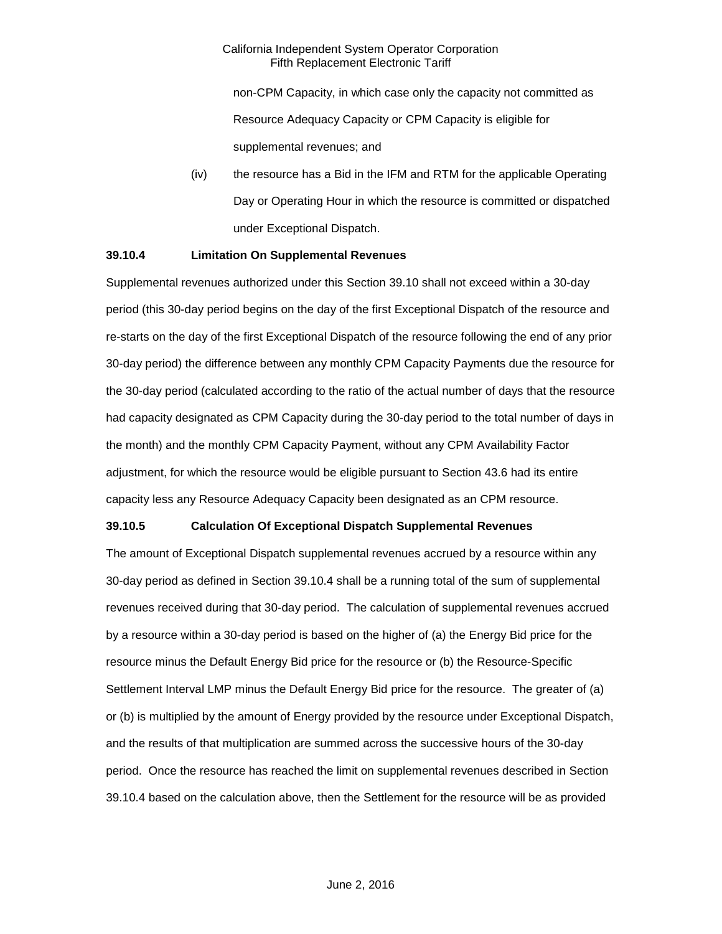non-CPM Capacity, in which case only the capacity not committed as Resource Adequacy Capacity or CPM Capacity is eligible for supplemental revenues; and

(iv) the resource has a Bid in the IFM and RTM for the applicable Operating Day or Operating Hour in which the resource is committed or dispatched under Exceptional Dispatch.

#### <span id="page-27-0"></span>**39.10.4 Limitation On Supplemental Revenues**

Supplemental revenues authorized under this Section 39.10 shall not exceed within a 30-day period (this 30-day period begins on the day of the first Exceptional Dispatch of the resource and re-starts on the day of the first Exceptional Dispatch of the resource following the end of any prior 30-day period) the difference between any monthly CPM Capacity Payments due the resource for the 30-day period (calculated according to the ratio of the actual number of days that the resource had capacity designated as CPM Capacity during the 30-day period to the total number of days in the month) and the monthly CPM Capacity Payment, without any CPM Availability Factor adjustment, for which the resource would be eligible pursuant to Section 43.6 had its entire capacity less any Resource Adequacy Capacity been designated as an CPM resource.

# <span id="page-27-1"></span>**39.10.5 Calculation Of Exceptional Dispatch Supplemental Revenues**

The amount of Exceptional Dispatch supplemental revenues accrued by a resource within any 30-day period as defined in Section 39.10.4 shall be a running total of the sum of supplemental revenues received during that 30-day period. The calculation of supplemental revenues accrued by a resource within a 30-day period is based on the higher of (a) the Energy Bid price for the resource minus the Default Energy Bid price for the resource or (b) the Resource-Specific Settlement Interval LMP minus the Default Energy Bid price for the resource. The greater of (a) or (b) is multiplied by the amount of Energy provided by the resource under Exceptional Dispatch, and the results of that multiplication are summed across the successive hours of the 30-day period. Once the resource has reached the limit on supplemental revenues described in Section 39.10.4 based on the calculation above, then the Settlement for the resource will be as provided